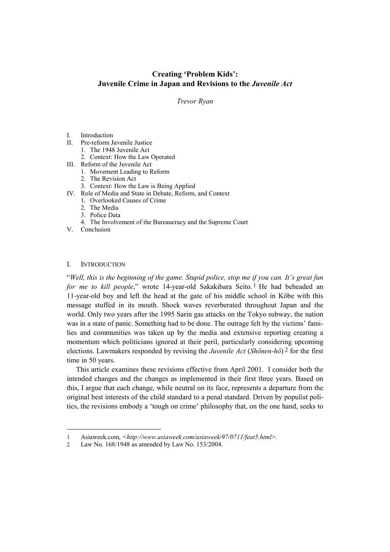# **Creating 'Problem Kids': Juvenile Crime in Japan and Revisions to the** *Juvenile Act*

*Trevor Ryan* 

## I. Introduction

- II. Pre-reform Juvenile Justice
	- 1. The 1948 Juvenile Act
	- 2. Context: How the Law Operated
- III. Reform of the Juvenile Act
	- 1. Movement Leading to Reform
	- 2. The Revision Act
	- 3. Context: How the Law is Being Applied
- IV. Role of Media and State in Debate, Reform, and Context
	- 1. Overlooked Causes of Crime
	- 2. The Media
	- 3. Police Data
	- 4. The Involvement of the Bureaucracy and the Supreme Court
- V. Conclusion

## I. INTRODUCTION

l

"*Well, this is the beginning of the game. Stupid police, stop me if you can. It's great fun for me to kill people*," wrote 14-year-old Sakakibara Seito.<sup>1</sup> He had beheaded an 11-year-old boy and left the head at the gate of his middle school in Kôbe with this message stuffed in its mouth. Shock waves reverberated throughout Japan and the world. Only two years after the 1995 Sarin gas attacks on the Tokyo subway, the nation was in a state of panic. Something had to be done. The outrage felt by the victims' families and communities was taken up by the media and extensive reporting creating a momentum which politicians ignored at their peril, particularly considering upcoming elections. Lawmakers responded by revising the *Juvenile Act* (*Shônen-hô*) [2](#page-0-1) for the first time in 50 years.

This article examines these revisions effective from April 2001. I consider both the intended changes and the changes as implemented in their first three years. Based on this, I argue that each change, while neutral on its face, represents a departure from the original best interests of the child standard to a penal standard. Driven by populist politics, the revisions embody a 'tough on crime' philosophy that, on the one hand, seeks to

<span id="page-0-0"></span><sup>1</sup> Asiaweek.com, *<http://www.asiaweek.com/asiaweek/97/0711/feat5.html>.* 

<span id="page-0-1"></span><sup>2</sup> Law No. 168/1948 as amended by Law No. 153/2004.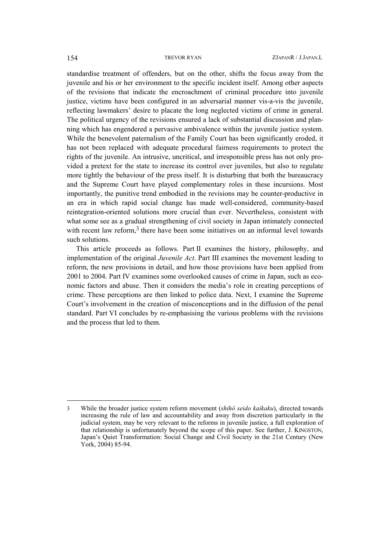standardise treatment of offenders, but on the other, shifts the focus away from the juvenile and his or her environment to the specific incident itself. Among other aspects of the revisions that indicate the encroachment of criminal procedure into juvenile justice, victims have been configured in an adversarial manner vis-a-vis the juvenile, reflecting lawmakers' desire to placate the long neglected victims of crime in general. The political urgency of the revisions ensured a lack of substantial discussion and planning which has engendered a pervasive ambivalence within the juvenile justice system. While the benevolent paternalism of the Family Court has been significantly eroded, it has not been replaced with adequate procedural fairness requirements to protect the rights of the juvenile. An intrusive, uncritical, and irresponsible press has not only provided a pretext for the state to increase its control over juveniles, but also to regulate more tightly the behaviour of the press itself. It is disturbing that both the bureaucracy and the Supreme Court have played complementary roles in these incursions. Most importantly, the punitive trend embodied in the revisions may be counter-productive in an era in which rapid social change has made well-considered, community-based reintegration-oriented solutions more crucial than ever. Nevertheless, consistent with what some see as a gradual strengthening of civil society in Japan intimately connected with recent law reform,<sup>[3](#page-1-0)</sup> there have been some initiatives on an informal level towards such solutions.

This article proceeds as follows. Part II examines the history, philosophy, and implementation of the original *Juvenile Act*. Part III examines the movement leading to reform, the new provisions in detail, and how those provisions have been applied from 2001 to 2004. Part IV examines some overlooked causes of crime in Japan, such as economic factors and abuse. Then it considers the media's role in creating perceptions of crime. These perceptions are then linked to police data. Next, I examine the Supreme Court's involvement in the creation of misconceptions and in the diffusion of the penal standard. Part VI concludes by re-emphasising the various problems with the revisions and the process that led to them.

 $\overline{a}$ 

<span id="page-1-0"></span><sup>3</sup> While the broader justice system reform movement (*shihô seido kaikaku*), directed towards increasing the rule of law and accountability and away from discretion particularly in the judicial system, may be very relevant to the reforms in juvenile justice, a full exploration of that relationship is unfortunately beyond the scope of this paper. See further, J. KINGSTON, Japan's Quiet Transformation: Social Change and Civil Society in the 21st Century (New York, 2004) 85-94.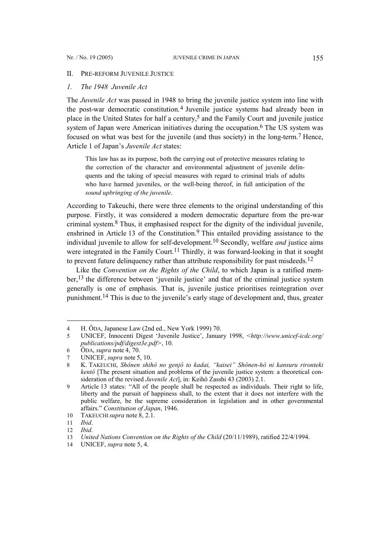### II. PRE-REFORM JUVENILE JUSTICE

## *1. The 1948 Juvenile Act*

The *Juvenile Act* was passed in 1948 to bring the juvenile justice system into line with the post-war democratic constitution.[4](#page-2-0) Juvenile justice systems had already been in place in the United States for half a century, [5](#page-2-1) and the Family Court and juvenile justice system of Japan were American initiatives during the occupation.<sup>[6](#page-2-2)</sup> The US system was focused on what was best for the juvenile (and thus society) in the long-term.<sup>7</sup> Hence, Article 1 of Japan's *Juvenile Act* states:

This law has as its purpose, both the carrying out of protective measures relating to the correction of the character and environmental adjustment of juvenile delinquents and the taking of special measures with regard to criminal trials of adults who have harmed juveniles, or the well-being thereof, in full anticipation of the *sound upbringing of the juvenile*.

According to Takeuchi, there were three elements to the original understanding of this purpose. Firstly, it was considered a modern democratic departure from the pre-war criminal system. [8](#page-2-4) Thus, it emphasised respect for the dignity of the individual juvenile, enshrined in Article 13 of the Constitution.<sup>[9](#page-2-5)</sup> This entailed providing assistance to the individual juvenile to allow for self-development[.10](#page-2-6) Secondly, welfare *and* justice aims were integrated in the Family Court.<sup>[11](#page-2-7)</sup> Thirdly, it was forward-looking in that it sought to prevent future delinguency rather than attribute responsibility for past misdeeds.<sup>[12](#page-2-8)</sup>

Like the *Convention on the Rights of the Child*, to which Japan is a ratified member,[13](#page-2-9) the difference between 'juvenile justice' and that of the criminal justice system generally is one of emphasis. That is, juvenile justice prioritises reintegration over punishment[.14](#page-2-10) This is due to the juvenile's early stage of development and, thus, greater

<span id="page-2-0"></span><sup>4</sup> H. ÔDA, Japanese Law (2nd ed., New York 1999) 70.

<span id="page-2-1"></span><sup>5</sup> UNICEF, Innocenti Digest 'Juvenile Justice', January 1998, *<[http://www.unicef-icdc.org/](http://www.unicef-icdc.org/ publications/pdf/digest3e.pdf) [publications/pdf/digest3e.pdf>](http://www.unicef-icdc.org/ publications/pdf/digest3e.pdf)*, 10.

<span id="page-2-2"></span><sup>6</sup> ÔDA, *supra* note 4, 70.

<span id="page-2-3"></span><sup>7</sup> UNICEF, *supra* note 5, 10.

<span id="page-2-4"></span><sup>8</sup> K. TAKEUCHI, *Shônen shihô no genjô to kadai, "kaisei" Shônen-hô ni kansuru rironteki kentô* [The present situation and problems of the juvenile justice system: a theoretical consideration of the revised *Juvenile Act*], in: Keihô Zasshi 43 (2003) 2.1.

<span id="page-2-5"></span><sup>9</sup> Article 13 states: "All of the people shall be respected as individuals. Their right to life, liberty and the pursuit of happiness shall, to the extent that it does not interfere with the public welfare, be the supreme consideration in legislation and in other governmental affairs." *Constitution of Japan*, 1946.

<span id="page-2-6"></span><sup>10</sup> TAKEUCHI*supra* note 8, 2.1.

<span id="page-2-7"></span><sup>11</sup> *Ibid*.

<span id="page-2-8"></span><sup>12</sup> *Ibid.*

<span id="page-2-9"></span><sup>13</sup> *United Nations Convention on the Rights of the Child* (20/11/1989), ratified 22/4/1994.

<span id="page-2-10"></span><sup>14</sup> UNICEF, *supra* note 5, 4.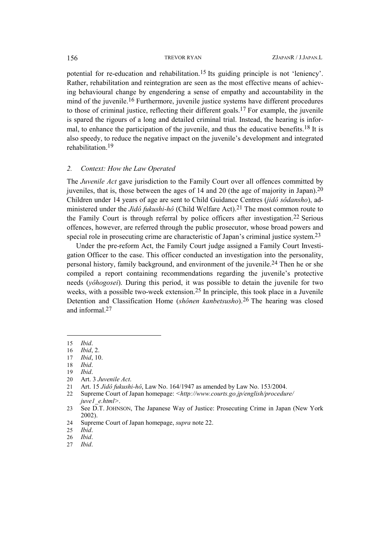potential for re-education and rehabilitation.[15](#page-3-0) Its guiding principle is not 'leniency'. Rather, rehabilitation and reintegration are seen as the most effective means of achieving behavioural change by engendering a sense of empathy and accountability in the mind of the juvenile.<sup>[16](#page-3-1)</sup> Furthermore, juvenile justice systems have different procedures to those of criminal justice, reflecting their different goals[.17](#page-3-2) For example, the juvenile is spared the rigours of a long and detailed criminal trial. Instead, the hearing is informal, to enhance the participation of the juvenile, and thus the educative benefits.<sup>18</sup> It is also speedy, to reduce the negative impact on the juvenile's development and integrated rehabilitation.[19](#page-3-4)

## *2. Context: How the Law Operated*

The *Juvenile Act* gave jurisdiction to the Family Court over all offences committed by juveniles, that is, those between the ages of 14 and 20 (the age of majority in Japan).[20](#page-3-5) Children under 14 years of age are sent to Child Guidance Centres (*jidô sôdansho*), administered under the *Jidô fukushi-hô* (Child Welfare Act).[21](#page-3-6) The most common route to the Family Court is through referral by police officers after investigation.[22](#page-3-7) Serious offences, however, are referred through the public prosecutor, whose broad powers and special role in prosecuting crime are characteristic of Japan's criminal justice system.<sup>[23](#page-3-8)</sup>

Under the pre-reform Act, the Family Court judge assigned a Family Court Investigation Officer to the case. This officer conducted an investigation into the personality, personal history, family background, and environment of the juvenile[.24](#page-3-9) Then he or she compiled a report containing recommendations regarding the juvenile's protective needs (*yôhogosei*). During this period, it was possible to detain the juvenile for two weeks, with a possible two-week extension.[25](#page-3-10) In principle, this took place in a Juvenile Detention and Classification Home (*shônen kanbetsusho*).[26](#page-3-11) The hearing was closed and informal 27

 $\overline{a}$ 

<span id="page-3-0"></span><sup>15</sup> *Ibid*.

<span id="page-3-1"></span><sup>16</sup> *Ibid*, 2.

<span id="page-3-2"></span><sup>17</sup> *Ibid*, 10.

<span id="page-3-3"></span><sup>18</sup> *Ibid*.

<span id="page-3-4"></span><sup>19</sup> *Ibid*.

<span id="page-3-5"></span><sup>20</sup> Art. 3 *Juvenile Act*.

<span id="page-3-6"></span><sup>21</sup> Art. 15 *Jidô fukushi-hô*, Law No. 164/1947 as amended by Law No. 153/2004.

<span id="page-3-7"></span><sup>22</sup> Supreme Court of Japan homepage: *[<http://www.courts.go.jp/english/procedure/](http://www.courts.go.jp/english/procedure/juve1_e.html) [juve1\\_e.html>](http://www.courts.go.jp/english/procedure/juve1_e.html)*.

<span id="page-3-8"></span><sup>23</sup> See D.T. JOHNSON, The Japanese Way of Justice: Prosecuting Crime in Japan (New York 2002).

<span id="page-3-9"></span><sup>24</sup> Supreme Court of Japan homepage, *supra* note 22.

<span id="page-3-10"></span><sup>25</sup> *Ibid*.

<span id="page-3-11"></span><sup>26</sup> *Ibid*.

<span id="page-3-12"></span><sup>27</sup> *Ibid*.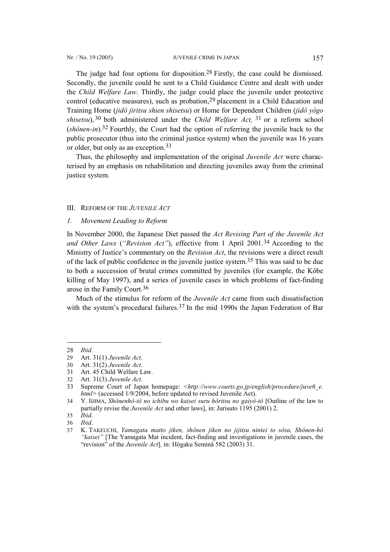The judge had four options for disposition.[28](#page-4-0) Firstly, the case could be dismissed.

Secondly, the juvenile could be sent to a Child Guidance Centre and dealt with under the *Child Welfare Law*. Thirdly, the judge could place the juvenile under protective control (educative measures), such as probation,[29](#page-4-1) placement in a Child Education and Training Home (*jidô jiritsu shien shisetsu*) or Home for Dependent Children (*jidô yôgo shisetsu*), [30](#page-4-2) both administered under the *Child Welfare Act,* [31](#page-4-3) or a reform school (*shônen-in*).[32](#page-4-4) Fourthly, the Court had the option of referring the juvenile back to the public prosecutor (thus into the criminal justice system) when the juvenile was 16 years or older, but only as an exception.[33](#page-4-5)

Thus, the philosophy and implementation of the original *Juvenile Act* were characterised by an emphasis on rehabilitation and directing juveniles away from the criminal justice system.

### III. REFORM OF THE *JUVENILE ACT*

*1. Movement Leading to Reform* 

In November 2000, the Japanese Diet passed the *Act Revising Part of the Juvenile Act and Other Laws* (*"Revision Act"*), effective from 1 April 2001.[34](#page-4-6) According to the Ministry of Justice's commentary on the *Revision Act*, the revisions were a direct result of the lack of public confidence in the juvenile justice system. [35](#page-4-7) This was said to be due to both a succession of brutal crimes committed by juveniles (for example, the Kôbe killing of May 1997), and a series of juvenile cases in which problems of fact-finding arose in the Family Court.[36](#page-4-8)

Much of the stimulus for reform of the *Juvenile Act* came from such dissatisfaction with the system's procedural failures.<sup>[37](#page-4-9)</sup> In the mid 1990s the Japan Federation of Bar

<span id="page-4-0"></span><sup>28</sup> *Ibid*.

<span id="page-4-1"></span><sup>29</sup> Art. 31(1) *Juvenile Act*.

<span id="page-4-2"></span><sup>30</sup> Art. 31(2) *Juvenile Act*.

<span id="page-4-3"></span><sup>31</sup> Art. 45 Child Welfare Law.

<span id="page-4-4"></span><sup>32</sup> Art. 31(3) *Juvenile Act*.

<span id="page-4-5"></span><sup>33</sup> Supreme Court of Japan homepage: *[<http://www.courts.go.jp/english/procedure/juve6\\_e.](http://www.courts.go.jp/english/procedure/juve6_e. html) [html](http://www.courts.go.jp/english/procedure/juve6_e. html)>* (accessed 1/9/2004, before updated to revised Juvenile Act).

<span id="page-4-6"></span><sup>34</sup> Y. IIJIMA, *Shônenhô-tô no ichibu wo kaisei suru hôritsu no gaiyô-tô* [Outline of the law to partially revise the *Juvenile Act* and other laws], in: Jurisuto 1195 (2001) 2.

<span id="page-4-7"></span><sup>35</sup> *Ibid*.

<span id="page-4-8"></span><sup>36</sup> *Ibid*.

<span id="page-4-9"></span><sup>37</sup> K. TAKEUCHI, *Yamagata matto jiken, shônen jiken no jijitsu nintei to sôsa, Shônen-hô "kaisei"* [The Yamagata Mat incident, fact-finding and investigations in juvenile cases, the "revision" of the *Juvenile Act*]*,* in: Hôgaku Seminâ 582 (2003) 31.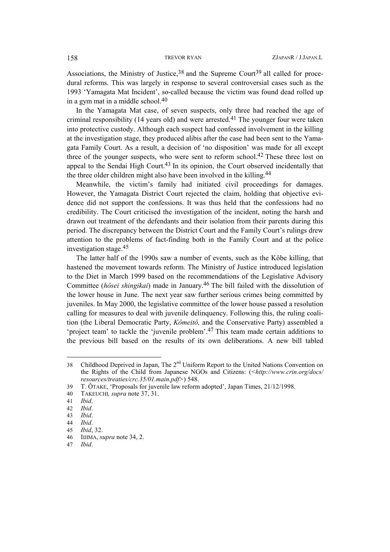Associations, the Ministry of Justice,  $38$  and the Supreme Court<sup>[39](#page-5-1)</sup> all called for procedural reforms. This was largely in response to several controversial cases such as the 1993 'Yamagata Mat Incident', so-called because the victim was found dead rolled up in a gym mat in a middle school.[40](#page-5-2)

In the Yamagata Mat case, of seven suspects, only three had reached the age of criminal responsibility (14 years old) and were arrested.<sup>[41](#page-5-3)</sup> The younger four were taken into protective custody. Although each suspect had confessed involvement in the killing at the investigation stage, they produced alibis after the case had been sent to the Yamagata Family Court. As a result, a decision of 'no disposition' was made for all except three of the younger suspects, who were sent to reform school.<sup>[42](#page-5-4)</sup> These three lost on appeal to the Sendai High Court.<sup>43</sup> In its opinion, the Court observed incidentally that the three older children might also have been involved in the killing.<sup>[44](#page-5-6)</sup>

Meanwhile, the victim's family had initiated civil proceedings for damages. However, the Yamagata District Court rejected the claim, holding that objective evidence did not support the confessions. It was thus held that the confessions had no credibility. The Court criticised the investigation of the incident, noting the harsh and drawn out treatment of the defendants and their isolation from their parents during this period. The discrepancy between the District Court and the Family Court's rulings drew attention to the problems of fact-finding both in the Family Court and at the police investigation stage.[45](#page-5-7) 

The latter half of the 1990s saw a number of events, such as the Kôbe killing, that hastened the movement towards reform. The Ministry of Justice introduced legislation to the Diet in March 1999 based on the recommendations of the Legislative Advisory Committee (*hôsei shingikai*) made in January. [46](#page-5-8) The bill failed with the dissolution of the lower house in June. The next year saw further serious crimes being committed by juveniles. In May 2000, the legislative committee of the lower house passed a resolution calling for measures to deal with juvenile delinquency. Following this, the ruling coalition (the Liberal Democratic Party, *Kômeitô,* and the Conservative Party) assembled a 'project team' to tackle the 'juvenile problem'.[47](#page-5-9) This team made certain additions to the previous bill based on the results of its own deliberations. A new bill tabled

<span id="page-5-0"></span><sup>38</sup> Childhood Deprived in Japan, The 2<sup>nd</sup> Uniform Report to the United Nations Convention on the Rights of the Child from Japanese NGOs and Citizens: (*[<http://www.crin.org/docs/](http://www.crin.org/docs/ resources/treaties/crc.35/01.main.pdf)  [resources/treaties/crc.35/01.main.pdf>](http://www.crin.org/docs/ resources/treaties/crc.35/01.main.pdf)*) 548.

<span id="page-5-1"></span><sup>39</sup> T. ÔTAKE, 'Proposals for juvenile law reform adopted', Japan Times, 21/12/1998.

<span id="page-5-2"></span><sup>40</sup> TAKEUCHI*, supra* note 37, 31.

<span id="page-5-3"></span><sup>41</sup> *Ibid*.

<span id="page-5-4"></span><sup>42</sup> *Ibid*.

<span id="page-5-5"></span><sup>43</sup> *Ibid*.

<span id="page-5-6"></span><sup>44</sup> *Ibid*.

<span id="page-5-7"></span><sup>45</sup> *Ibid*, 32.

<span id="page-5-8"></span><sup>46</sup> IIJIMA, *supra* note 34, 2.

<span id="page-5-9"></span><sup>47</sup> *Ibid*.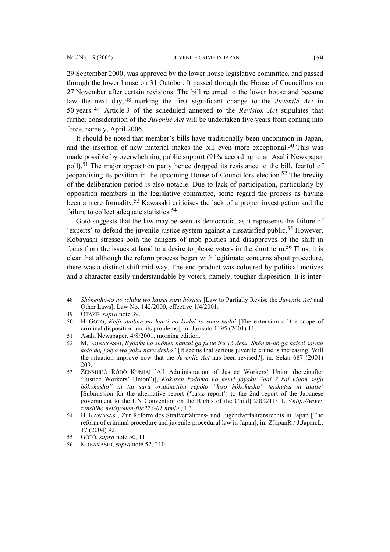29 September 2000, was approved by the lower house legislative committee, and passed through the lower house on 31 October. It passed through the House of Councillors on 27 November after certain revisions. The bill returned to the lower house and became law the next day, [48](#page-6-0) marking the first significant change to the *Juvenile Act* in 50 years. [49](#page-6-1) Article 3 of the scheduled annexed to the *Revision Act* stipulates that further consideration of the *Juvenile Act* will be undertaken five years from coming into force, namely, April 2006.

It should be noted that member's bills have traditionally been uncommon in Japan, and the insertion of new material makes the bill even more exceptional.<sup>50</sup> This was made possible by overwhelming public support (91% according to an Asahi Newspaper poll).[51](#page-6-3) The major opposition party hence dropped its resistance to the bill, fearful of jeopardising its position in the upcoming House of Councillors election[.52](#page-6-4) The brevity of the deliberation period is also notable. Due to lack of participation, particularly by opposition members in the legislative committee, some regard the process as having been a mere formality. [53](#page-6-5) Kawasaki criticises the lack of a proper investigation and the failure to collect adequate statistics.<sup>[54](#page-6-6)</sup>

Gotô suggests that the law may be seen as democratic, as it represents the failure of 'experts' to defend the juvenile justice system against a dissatisfied public[.55](#page-6-7) However, Kobayashi stresses both the dangers of mob politics and disapproves of the shift in focus from the issues at hand to a desire to please voters in the short term. [56](#page-6-8) Thus, it is clear that although the reform process began with legitimate concerns about procedure, there was a distinct shift mid-way. The end product was coloured by political motives and a character easily understandable by voters, namely, tougher disposition. It is inter-

<span id="page-6-0"></span><sup>48</sup> *Shônenhô-to no ichibu wo kaisei suru hôritsu* [Law to Partially Revise the *Juvenile Act* and Other Laws], Law No. 142/2000, effective 1/4/2001.

<span id="page-6-1"></span><sup>49</sup> ÔTAKE, *supra* note 39.

<span id="page-6-2"></span><sup>50</sup> H. GOTÔ, *Keiji shobun no han'i no kodai to sono kadai* [The extension of the scope of criminal disposition and its problems], in: Jurisuto 1195 (2001) 11.

<span id="page-6-3"></span><sup>51</sup> Asahi Newspaper, 4/8/2001, morning edition.

<span id="page-6-4"></span><sup>52</sup> M. KOBAYASHI, *Kyôaku na shônen hanzai ga fuete iru yô desu. Shônen-hô ga kaisei sareta koto de, jôkyô wa yoku naru deshô?* [It seems that serious juvenile crime is increasing. Will the situation improve now that the *Juvenile Act* has been revised?], in: Sekai 687 (2001) 209.

<span id="page-6-5"></span><sup>53</sup> ZENSHIHÔ RÔDÔ KUMIAI [All Administration of Justice Workers' Union (hereinafter "Justice Workers' Union")], *Kokuren kodomo no kenri jôyaku "dai 2 kai nihon seifu hôkokusho" ni tai suru orutânatibu repôto "kiso hôkokusho" teishutsu ni atatte'*  [Submission for the alternative report ('basic report') to the 2nd report of the Japanese government to the UN Convention on the Rights of the Child] 2002/11/11, *[<http://www.](http://www. zenshiho.net/syonen-file273-01.html) [zenshiho.net/syonen-file273-01.html>](http://www. zenshiho.net/syonen-file273-01.html)*, 1.3.

<span id="page-6-6"></span><sup>54</sup> H. KAWASAKI, Zur Reform des Strafverfahrens- und Jugendverfahrensrechts in Japan [The reform of criminal procedure and juvenile procedural law in Japan], in: ZJapanR / J.Japan.L. 17 (2004) 92.

<span id="page-6-7"></span><sup>55</sup> GOTÔ, *supra* note 50, 11.

<span id="page-6-8"></span><sup>56</sup> KOBAYASHI, *supra* note 52, 210.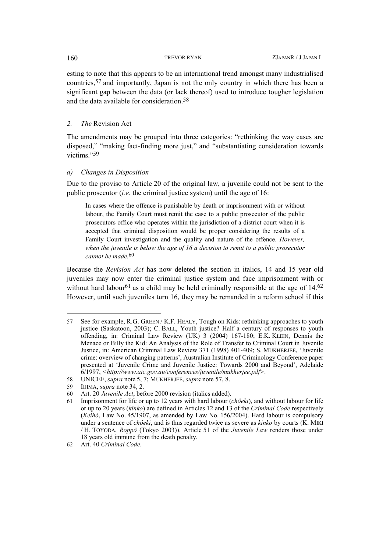esting to note that this appears to be an international trend amongst many industrialised countries,[57](#page-7-0) and importantly, Japan is not the only country in which there has been a significant gap between the data (or lack thereof) used to introduce tougher legislation and the data available for consideration[.58](#page-7-1)

## *2. The* Revision Act

The amendments may be grouped into three categories: "rethinking the way cases are disposed," "making fact-finding more just," and "substantiating consideration towards victims<sup>["59](#page-7-2)</sup>

## *a) Changes in Disposition*

Due to the proviso to Article 20 of the original law, a juvenile could not be sent to the public prosecutor (*i.e.* the criminal justice system) until the age of 16:

In cases where the offence is punishable by death or imprisonment with or without labour, the Family Court must remit the case to a public prosecutor of the public prosecutors office who operates within the jurisdiction of a district court when it is accepted that criminal disposition would be proper considering the results of a Family Court investigation and the quality and nature of the offence. *However, when the juvenile is below the age of 16 a decision to remit to a public prosecutor cannot be made.*[60](#page-7-3)

Because the *Revision Act* has now deleted the section in italics, 14 and 15 year old juveniles may now enter the criminal justice system and face imprisonment with or without hard labour<sup>[61](#page-7-4)</sup> as a child may be held criminally responsible at the age of  $14.62$  $14.62$ However, until such juveniles turn 16, they may be remanded in a reform school if this

<span id="page-7-0"></span><sup>57</sup> See for example, R.G. GREEN / K.F. HEALY, Tough on Kids: rethinking approaches to youth justice (Saskatoon, 2003); C. BALL, Youth justice? Half a century of responses to youth offending, in: Criminal Law Review (UK) 3 (2004) 167-180; E.K. KLEIN, Dennis the Menace or Billy the Kid: An Analysis of the Role of Transfer to Criminal Court in Juvenile Justice, in: American Criminal Law Review 371 (1998) 401-409; S. MUKHERJEE, 'Juvenile crime: overview of changing patterns', Australian Institute of Criminology Conference paper presented at 'Juvenile Crime and Juvenile Justice: Towards 2000 and Beyond', Adelaide 6/1997, *<<http://www.aic.gov.au/conferences/juvenile/mukherjee.pdf>>*.

<span id="page-7-1"></span><sup>58</sup> UNICEF, *supra* note 5, 7; MUKHERJEE, *supra* note 57, 8.

<span id="page-7-2"></span><sup>59</sup> IIJIMA, *supra* note 34, 2.

<span id="page-7-3"></span><sup>60</sup> Art. 20 *Juvenile Act*, before 2000 revision (italics added).

<span id="page-7-4"></span><sup>61</sup> Imprisonment for life or up to 12 years with hard labour (*chôeki*), and without labour for life or up to 20 years (*kinko*) are defined in Articles 12 and 13 of the *Criminal Code* respectively (*Keihô*, Law No. 45/1907, as amended by Law No. 156/2004). Hard labour is compulsory under a sentence of *chôeki*, and is thus regarded twice as severe as *kinko* by courts (K. MIKI / H. TOYODA, *Roppô* (Tokyo 2003)). Article 51 of the *Juvenile Law* renders those under 18 years old immune from the death penalty.

<span id="page-7-5"></span><sup>62</sup> Art. 40 *Criminal Code*.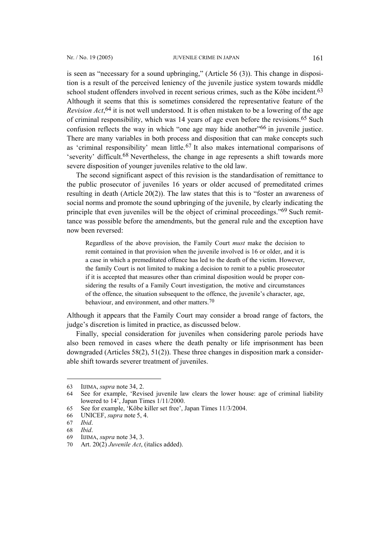is seen as "necessary for a sound upbringing," (Article 56 (3)). This change in disposition is a result of the perceived leniency of the juvenile justice system towards middle school student offenders involved in recent serious crimes, such as the Kôbe incident.<sup>[63](#page-8-0)</sup> Although it seems that this is sometimes considered the representative feature of the *Revision Act*, [64](#page-8-1) it is not well understood. It is often mistaken to be a lowering of the age of criminal responsibility, which was 14 years of age even before the revisions.[65](#page-8-2) Such confusion reflects the way in which "one age may hide another"<sup>66</sup> in juvenile justice. There are many variables in both process and disposition that can make concepts such as 'criminal responsibility' mean little.[67](#page-8-4) It also makes international comparisons of 'severity' difficult.[68](#page-8-5) Nevertheless, the change in age represents a shift towards more severe disposition of younger juveniles relative to the old law.

The second significant aspect of this revision is the standardisation of remittance to the public prosecutor of juveniles 16 years or older accused of premeditated crimes resulting in death (Article 20(2)). The law states that this is to "foster an awareness of social norms and promote the sound upbringing of the juvenile, by clearly indicating the principle that even juveniles will be the object of criminal proceedings."[69](#page-8-6) Such remittance was possible before the amendments, but the general rule and the exception have now been reversed:

Regardless of the above provision, the Family Court *must* make the decision to remit contained in that provision when the juvenile involved is 16 or older, and it is a case in which a premeditated offence has led to the death of the victim. However, the family Court is not limited to making a decision to remit to a public prosecutor if it is accepted that measures other than criminal disposition would be proper considering the results of a Family Court investigation, the motive and circumstances of the offence, the situation subsequent to the offence, the juvenile's character, age, behaviour, and environment, and other matters.<sup>[70](#page-8-7)</sup>

Although it appears that the Family Court may consider a broad range of factors, the judge's discretion is limited in practice, as discussed below.

Finally, special consideration for juveniles when considering parole periods have also been removed in cases where the death penalty or life imprisonment has been downgraded (Articles 58(2), 51(2)). These three changes in disposition mark a considerable shift towards severer treatment of juveniles.

<span id="page-8-0"></span><sup>63</sup> IIJIMA, *supra* note 34, 2.

<span id="page-8-1"></span><sup>64</sup> See for example, 'Revised juvenile law clears the lower house: age of criminal liability lowered to 14', Japan Times 1/11/2000.

<span id="page-8-2"></span><sup>65</sup> See for example, 'Kôbe killer set free', Japan Times 11/3/2004.

<span id="page-8-3"></span><sup>66</sup> UNICEF, *supra* note 5, 4.

<span id="page-8-4"></span><sup>67</sup> *Ibid*.

<span id="page-8-5"></span><sup>68</sup> *Ibid*.

<span id="page-8-6"></span><sup>69</sup> IIJIMA, *supra* note 34, 3.

<span id="page-8-7"></span><sup>70</sup> Art. 20(2) *Juvenile Act*, (italics added).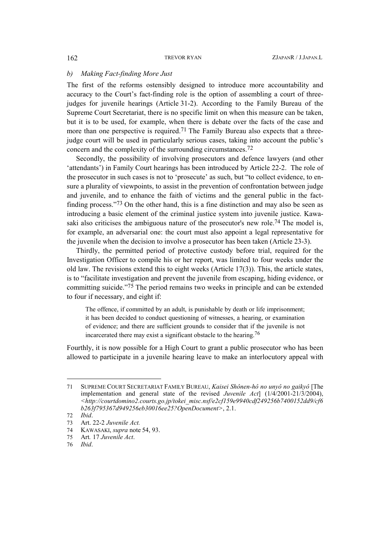## *b) Making Fact-finding More Just*

The first of the reforms ostensibly designed to introduce more accountability and accuracy to the Court's fact-finding role is the option of assembling a court of threejudges for juvenile hearings (Article 31-2). According to the Family Bureau of the Supreme Court Secretariat, there is no specific limit on when this measure can be taken, but it is to be used, for example, when there is debate over the facts of the case and more than one perspective is required.<sup>[71](#page-9-0)</sup> The Family Bureau also expects that a threejudge court will be used in particularly serious cases, taking into account the public's concern and the complexity of the surrounding circumstances.[72](#page-9-1)

Secondly, the possibility of involving prosecutors and defence lawyers (and other 'attendants') in Family Court hearings has been introduced by Article 22-2. The role of the prosecutor in such cases is not to 'prosecute' as such, but "to collect evidence, to ensure a plurality of viewpoints, to assist in the prevention of confrontation between judge and juvenile, and to enhance the faith of victims and the general public in the factfinding process."[73](#page-9-2) On the other hand, this is a fine distinction and may also be seen as introducing a basic element of the criminal justice system into juvenile justice. Kawa-saki also criticises the ambiguous nature of the prosecutor's new role.<sup>[74](#page-9-3)</sup> The model is, for example, an adversarial one: the court must also appoint a legal representative for the juvenile when the decision to involve a prosecutor has been taken (Article 23-3).

Thirdly, the permitted period of protective custody before trial, required for the Investigation Officer to compile his or her report, was limited to four weeks under the old law. The revisions extend this to eight weeks (Article 17(3)). This, the article states, is to "facilitate investigation and prevent the juvenile from escaping, hiding evidence, or committing suicide."[75](#page-9-4) The period remains two weeks in principle and can be extended to four if necessary, and eight if:

The offence, if committed by an adult, is punishable by death or life imprisonment; it has been decided to conduct questioning of witnesses, a hearing, or examination of evidence; and there are sufficient grounds to consider that if the juvenile is not incarcerated there may exist a significant obstacle to the hearing. [76](#page-9-5) 

Fourthly, it is now possible for a High Court to grant a public prosecutor who has been allowed to participate in a juvenile hearing leave to make an interlocutory appeal with

<span id="page-9-0"></span><sup>71</sup> SUPREME COURT SECRETARIAT FAMILY BUREAU, *Kaisei Shônen-hô no unyô no gaikyô* [The implementation and general state of the revised *Juvenile Act*] (1/4/2001-21/3/2004), *<[http://courtdomino2.courts.go.jp/tokei\\_misc.nsf/e2cf159e9940cdf249256b7400152dd9/cf6](http://courtdomino2.courts.go.jp/tokei_misc.nsf/e2cf159e9940cdf249256b7400152dd9/cf6b263f795367d949256eb30016ee25?OpenDocument) [b263f795367d949256eb30016ee25?OpenDocument](http://courtdomino2.courts.go.jp/tokei_misc.nsf/e2cf159e9940cdf249256b7400152dd9/cf6b263f795367d949256eb30016ee25?OpenDocument)>*, 2.1.

<span id="page-9-1"></span><sup>72</sup> *Ibid*.

<span id="page-9-2"></span><sup>73</sup> Art. 22-2 *Juvenile Act.*

<span id="page-9-3"></span><sup>74</sup> KAWASAKI, *supra* note 54, 93.

<span id="page-9-4"></span><sup>75</sup> Art*.* 17 *Juvenile Act*.

<span id="page-9-5"></span><sup>76</sup> *Ibid*.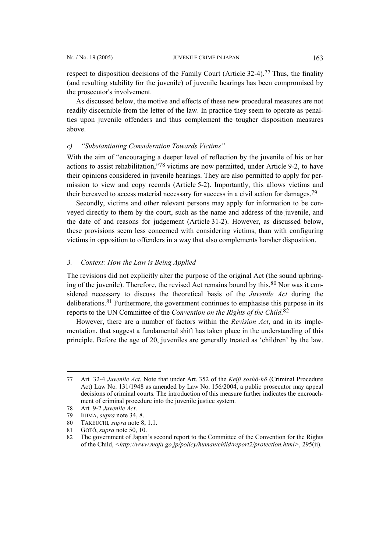respect to disposition decisions of the Family Court (Article 32-4).[77](#page-10-0) Thus, the finality (and resulting stability for the juvenile) of juvenile hearings has been compromised by the prosecutor's involvement.

As discussed below, the motive and effects of these new procedural measures are not readily discernible from the letter of the law. In practice they seem to operate as penalties upon juvenile offenders and thus complement the tougher disposition measures above.

## *c) "Substantiating Consideration Towards Victims"*

With the aim of "encouraging a deeper level of reflection by the juvenile of his or her actions to assist rehabilitation,"[78](#page-10-1) victims are now permitted, under Article 9-2, to have their opinions considered in juvenile hearings. They are also permitted to apply for permission to view and copy records (Article 5-2). Importantly, this allows victims and their bereaved to access material necessary for success in a civil action for damages.[79](#page-10-2)

Secondly, victims and other relevant persons may apply for information to be conveyed directly to them by the court, such as the name and address of the juvenile, and the date of and reasons for judgement (Article 31-2). However, as discussed below, these provisions seem less concerned with considering victims, than with configuring victims in opposition to offenders in a way that also complements harsher disposition.

## *3. Context: How the Law is Being Applied*

The revisions did not explicitly alter the purpose of the original Act (the sound upbringing of the juvenile). Therefore, the revised Act remains bound by this. $80$  Nor was it considered necessary to discuss the theoretical basis of the *Juvenile Act* during the deliberations[.81](#page-10-4) Furthermore, the government continues to emphasise this purpose in its reports to the UN Committee of the *Convention on the Rights of the Child*. [82](#page-10-5)

However, there are a number of factors within the *Revision Act*, and in its implementation, that suggest a fundamental shift has taken place in the understanding of this principle. Before the age of 20, juveniles are generally treated as 'children' by the law.

<span id="page-10-0"></span><sup>77</sup> Art*.* 32-4 *Juvenile Act*. Note that under Art. 352 of the *Keiji soshô-hô* (Criminal Procedure Act) Law No*.* 131/1948 as amended by Law No. 156/2004, a public prosecutor may appeal decisions of criminal courts. The introduction of this measure further indicates the encroachment of criminal procedure into the juvenile justice system.

<span id="page-10-1"></span><sup>78</sup> Art*.* 9-2 *Juvenile Act*.

<span id="page-10-2"></span><sup>79</sup> IIJIMA, *supra* note 34, 8.

<span id="page-10-3"></span><sup>80</sup> TAKEUCHI*, supra* note 8, 1.1.

<span id="page-10-4"></span><sup>81</sup> GOTÔ, *supra* note 50, 10.

<span id="page-10-5"></span><sup>82</sup> The government of Japan's second report to the Committee of the Convention for the Rights of the Child, *<<http://www.mofa.go.jp/policy/human/child/report2/protection.html>>*, 295(ii).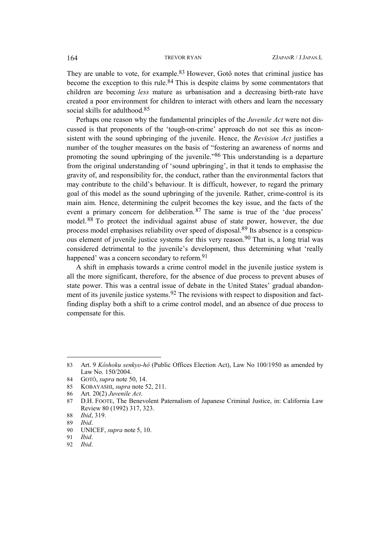They are unable to vote, for example.<sup>83</sup> However, Gotô notes that criminal justice has become the exception to this rule.<sup>[84](#page-11-1)</sup> This is despite claims by some commentators that children are becoming *less* mature as urbanisation and a decreasing birth-rate have created a poor environment for children to interact with others and learn the necessary social skills for adulthood.<sup>[85](#page-11-2)</sup>

Perhaps one reason why the fundamental principles of the *Juvenile Act* were not discussed is that proponents of the 'tough-on-crime' approach do not see this as inconsistent with the sound upbringing of the juvenile. Hence, the *Revision Act* justifies a number of the tougher measures on the basis of "fostering an awareness of norms and promoting the sound upbringing of the juvenile."[86](#page-11-3) This understanding is a departure from the original understanding of 'sound upbringing', in that it tends to emphasise the gravity of, and responsibility for, the conduct, rather than the environmental factors that may contribute to the child's behaviour. It is difficult, however, to regard the primary goal of this model as the sound upbringing of the juvenile. Rather, crime-control is its main aim. Hence, determining the culprit becomes the key issue, and the facts of the event a primary concern for deliberation.<sup>[87](#page-11-4)</sup> The same is true of the 'due process' model.[88](#page-11-5) To protect the individual against abuse of state power, however, the due process model emphasises reliability over speed of disposal.[89](#page-11-6) Its absence is a conspicuous element of juvenile justice systems for this very reason[.90](#page-11-7) That is, a long trial was considered detrimental to the juvenile's development, thus determining what 'really happened' was a concern secondary to reform.<sup>[91](#page-11-8)</sup>

A shift in emphasis towards a crime control model in the juvenile justice system is all the more significant, therefore, for the absence of due process to prevent abuses of state power. This was a central issue of debate in the United States' gradual abandonment of its juvenile justice systems.<sup>92</sup> The revisions with respect to disposition and factfinding display both a shift to a crime control model, and an absence of due process to compensate for this.

<span id="page-11-0"></span><sup>83</sup> Art. 9 *Kôshoku senkyo-hô* (Public Offices Election Act), Law No 100/1950 as amended by Law No. 150/2004.

<span id="page-11-1"></span><sup>84</sup> GOTÔ, *supra* note 50, 14.

<span id="page-11-2"></span><sup>85</sup> KOBAYASHI, *supra* note 52, 211.

<span id="page-11-3"></span><sup>86</sup> Art*.* 20(2) *Juvenile Act*.

<span id="page-11-4"></span><sup>87</sup> D.H. FOOTE, The Benevolent Paternalism of Japanese Criminal Justice, in: California Law Review 80 (1992) 317, 323.

<span id="page-11-5"></span><sup>88</sup> *Ibid*, 319.

<span id="page-11-6"></span><sup>89</sup> *Ibid*.

<span id="page-11-7"></span><sup>90</sup> UNICEF, *supra* note 5, 10.

<span id="page-11-8"></span><sup>91</sup> *Ibid*.

<span id="page-11-9"></span><sup>92</sup> *Ibid*.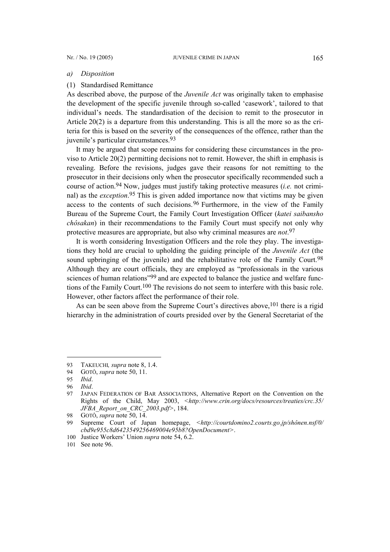### *a) Disposition*

## (1) Standardised Remittance

As described above, the purpose of the *Juvenile Act* was originally taken to emphasise the development of the specific juvenile through so-called 'casework', tailored to that individual's needs. The standardisation of the decision to remit to the prosecutor in Article 20(2) is a departure from this understanding. This is all the more so as the criteria for this is based on the severity of the consequences of the offence, rather than the juvenile's particular circumstances.[93](#page-12-0)

It may be argued that scope remains for considering these circumstances in the proviso to Article 20(2) permitting decisions not to remit. However, the shift in emphasis is revealing. Before the revisions, judges gave their reasons for not remitting to the prosecutor in their decisions only when the prosecutor specifically recommended such a course of action.[94](#page-12-1) Now, judges must justify taking protective measures (*i.e.* not criminal) as the *exception*. [95](#page-12-2) This is given added importance now that victims may be given access to the contents of such decisions.<sup>[96](#page-12-3)</sup> Furthermore, in the view of the Family Bureau of the Supreme Court, the Family Court Investigation Officer (*katei saibansho chôsakan*) in their recommendations to the Family Court must specify not only why protective measures are appropriate, but also why criminal measures are *not*. [97](#page-12-4)

It is worth considering Investigation Officers and the role they play. The investigations they hold are crucial to upholding the guiding principle of the *Juvenile Act* (the sound upbringing of the juvenile) and the rehabilitative role of the Family Court.<sup>[98](#page-12-5)</sup> Although they are court officials, they are employed as "professionals in the various sciences of human relations<sup>"99</sup> and are expected to balance the justice and welfare functions of the Family Court[.100](#page-12-7) The revisions do not seem to interfere with this basic role. However, other factors affect the performance of their role.

As can be seen above from the Supreme Court's directives above, <sup>[101](#page-12-8)</sup> there is a rigid hierarchy in the administration of courts presided over by the General Secretariat of the

<span id="page-12-0"></span><sup>93</sup> TAKEUCHI*, supra* note 8, 1.4.

<span id="page-12-1"></span><sup>94</sup> GOTÔ, *supra* note 50, 11.

<span id="page-12-2"></span><sup>95</sup> *Ibid*.

<span id="page-12-3"></span><sup>96</sup> *Ibid*.

<span id="page-12-4"></span><sup>97</sup> JAPAN FEDERATION OF BAR ASSOCIATIONS, Alternative Report on the Convention on the Rights of the Child, May 2003, *<[http://www.crin.org/docs/resources/treaties/crc.35/](http://www.crin.org/docs/resources/treaties/crc.35/ JFBA_Report_on_CRC_2003.pdf) [JFBA\\_Report\\_on\\_CRC\\_2003.pdf](http://www.crin.org/docs/resources/treaties/crc.35/ JFBA_Report_on_CRC_2003.pdf)>*, 184.

<span id="page-12-5"></span><sup>98</sup> GOTÔ, *supra* note 50, 14.

<span id="page-12-6"></span><sup>99</sup> Supreme Court of Japan homepage, *[<http://courtdomino2.courts.go.jp/shônen.nsf/0/](http://courtdomino2.courts.go.jp/sh�nen.nsf/0/ cbd9e955c8d6423549256469004e95b8?OpenDocument) [cbd9e955c8d6423549256469004e95b8?OpenDocument](http://courtdomino2.courts.go.jp/sh�nen.nsf/0/ cbd9e955c8d6423549256469004e95b8?OpenDocument)>*.

<span id="page-12-7"></span><sup>100</sup> Justice Workers' Union *supra* note 54, 6.2.

<span id="page-12-8"></span><sup>101</sup> See note 96.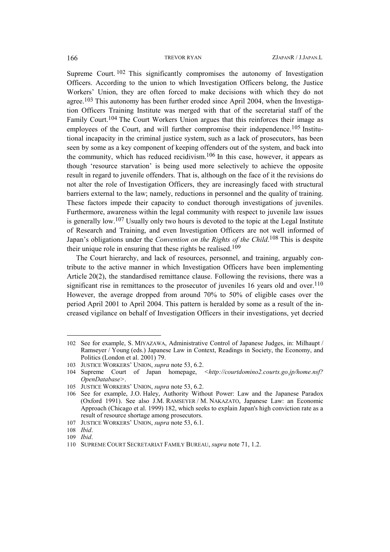Supreme Court. [102](#page-13-0) This significantly compromises the autonomy of Investigation Officers. According to the union to which Investigation Officers belong, the Justice Workers' Union, they are often forced to make decisions with which they do not agree.[103](#page-13-1) This autonomy has been further eroded since April 2004, when the Investigation Officers Training Institute was merged with that of the secretarial staff of the Family Court[.104](#page-13-2) The Court Workers Union argues that this reinforces their image as employees of the Court, and will further compromise their independence.<sup>105</sup> Institutional incapacity in the criminal justice system, such as a lack of prosecutors, has been seen by some as a key component of keeping offenders out of the system, and back into the community, which has reduced recidivism. [106](#page-13-4) In this case, however, it appears as though 'resource starvation' is being used more selectively to achieve the opposite result in regard to juvenile offenders. That is, although on the face of it the revisions do not alter the role of Investigation Officers, they are increasingly faced with structural barriers external to the law; namely, reductions in personnel and the quality of training. These factors impede their capacity to conduct thorough investigations of juveniles. Furthermore, awareness within the legal community with respect to juvenile law issues is generally low. [107](#page-13-5) Usually only two hours is devoted to the topic at the Legal Institute of Research and Training, and even Investigation Officers are not well informed of Japan's obligations under the *Convention on the Rights of the Child*. [108](#page-13-6) This is despite their unique role in ensuring that these rights be realised.[109](#page-13-7)

The Court hierarchy, and lack of resources, personnel, and training, arguably contribute to the active manner in which Investigation Officers have been implementing Article 20(2), the standardised remittance clause. Following the revisions, there was a significant rise in remittances to the prosecutor of juveniles 16 years old and over.<sup>110</sup> However, the average dropped from around 70% to 50% of eligible cases over the period April 2001 to April 2004. This pattern is heralded by some as a result of the increased vigilance on behalf of Investigation Officers in their investigations, yet decried

 $\overline{a}$ 

<span id="page-13-0"></span><sup>102</sup> See for example, S. MIYAZAWA, Administrative Control of Japanese Judges, in: Milhaupt / Ramseyer / Young (eds.) Japanese Law in Context, Readings in Society, the Economy, and Politics (London et al. 2001) 79.

<span id="page-13-1"></span><sup>103</sup> JUSTICE WORKERS' UNION, *supra* note 53, 6.2.

<span id="page-13-2"></span><sup>104</sup> Supreme Court of Japan homepage, *[<http://courtdomino2.courts.go.jp/home.nsf?](http://courtdomino2.courts.go.jp/home.nsf? OpenDatabase) [OpenDatabase](http://courtdomino2.courts.go.jp/home.nsf? OpenDatabase)>*.

<span id="page-13-3"></span><sup>105</sup> JUSTICE WORKERS' UNION, *supra* note 53, 6.2.

<span id="page-13-4"></span><sup>106</sup> See for example, J.O. Haley, Authority Without Power: Law and the Japanese Paradox (Oxford 1991). See also J.M. RAMSEYER / M. NAKAZATO, Japanese Law: an Economic Approach (Chicago et al. 1999) 182, which seeks to explain Japan's high conviction rate as a result of resource shortage among prosecutors.

<span id="page-13-5"></span><sup>107</sup> JUSTICE WORKERS' UNION, *supra* note 53, 6.1.

<span id="page-13-6"></span><sup>108</sup> *Ibid*.

<span id="page-13-7"></span><sup>109</sup> *Ibid*.

<span id="page-13-8"></span><sup>110</sup> SUPREME COURT SECRETARIAT FAMILY BUREAU, *supra* note 71, 1.2.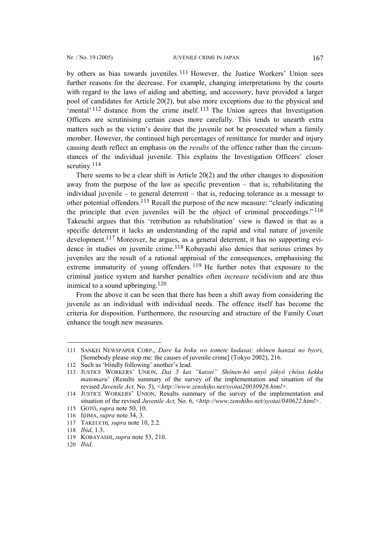by others as bias towards juveniles.[111](#page-14-0) However, the Justice Workers' Union sees further reasons for the decrease. For example, changing interpretations by the courts with regard to the laws of aiding and abetting, and accessory, have provided a larger pool of candidates for Article 20(2), but also more exceptions due to the physical and 'mental' [112](#page-14-1) distance from the crime itself. [113](#page-14-2) The Union agrees that Investigation Officers are scrutinising certain cases more carefully. This tends to unearth extra matters such as the victim's desire that the juvenile not be prosecuted when a family member. However, the continued high percentages of remittance for murder and injury causing death reflect an emphasis on the *results* of the offence rather than the circumstances of the individual juvenile. This explains the Investigation Officers' closer scrutiny.<sup>[114](#page-14-3)</sup>

There seems to be a clear shift in Article 20(2) and the other changes to disposition away from the purpose of the law as specific prevention – that is, rehabilitating the individual juvenile – to general deterrent – that is, reducing tolerance as a message to other potential offenders.<sup>[115](#page-14-4)</sup> Recall the purpose of the new measure: "clearly indicating the principle that even juveniles will be the object of criminal proceedings." [116](#page-14-5) Takeuchi argues that this 'retribution as rehabilitation' view is flawed in that as a specific deterrent it lacks an understanding of the rapid and vital nature of juvenile development.[117](#page-14-6) Moreover, he argues, as a general deterrent, it has no supporting evi-dence in studies on juvenile crime.<sup>[118](#page-14-7)</sup> Kobayashi also denies that serious crimes by juveniles are the result of a rational appraisal of the consequences, emphasising the extreme immaturity of young offenders. <sup>[119](#page-14-8)</sup> He further notes that exposure to the criminal justice system and harsher penalties often *increase* recidivism and are thus inimical to a sound upbringing. [120](#page-14-9)

From the above it can be seen that there has been a shift away from considering the juvenile as an individual with individual needs. The offence itself has become the criteria for disposition. Furthermore, the resourcing and structure of the Family Court enhance the tough new measures.

<span id="page-14-0"></span><sup>111</sup> SANKEI NEWSPAPER CORP., *Dare ka boku wo tomete kudasai: shônen hanzai no byori*, [Somebody please stop me: the causes of juvenile crime] (Tokyo 2002), 216.

<span id="page-14-1"></span><sup>112</sup> Such as 'blindly following' another's lead.

<span id="page-14-2"></span><sup>113</sup> JUSTICE WORKERS' UNION, *Dai 5 kai "kaisei" Shônen-hô unyô jôkyô chôsa kekka matomaru*' (Results summary of the survey of the implementation and situation of the revised *Juvenile Act,* No. 5), *[<http://www.zenshiho.net/syotai20030926.html](http://www.zenshiho.net/syotai20030926.html)>.*

<span id="page-14-3"></span><sup>114</sup> JUSTICE WORKERS' UNION, Results summary of the survey of the implementation and situation of the revised *Juvenile Act,* No. 6, <*[http://www.zenshiho.net/syotai/040622.html>](http://www.zenshiho.net/syotai/040622.html)*.

<span id="page-14-4"></span><sup>115</sup> GOTÔ, *supra* note 50, 10.

<span id="page-14-5"></span><sup>116</sup> IIJIMA, *supra* note 34, 3.

<span id="page-14-6"></span><sup>117</sup> TAKEUCHI*, supra* note 10, 2.2.

<span id="page-14-7"></span><sup>118</sup> *Ibid*, 1.3.

<span id="page-14-8"></span><sup>119</sup> KOBAYASHI, *supra* note 53, 210.

<span id="page-14-9"></span><sup>120</sup> *Ibid*.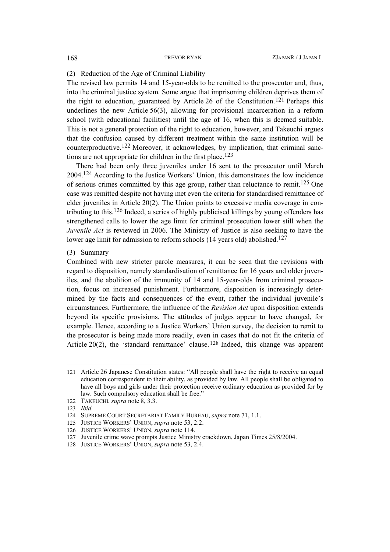## (2) Reduction of the Age of Criminal Liability

The revised law permits 14 and 15-year-olds to be remitted to the prosecutor and, thus, into the criminal justice system. Some argue that imprisoning children deprives them of the right to education, guaranteed by Article 26 of the Constitution.[121](#page-15-0) Perhaps this underlines the new Article 56(3), allowing for provisional incarceration in a reform school (with educational facilities) until the age of 16, when this is deemed suitable. This is not a general protection of the right to education, however, and Takeuchi argues that the confusion caused by different treatment within the same institution will be counterproductive.[122](#page-15-1) Moreover, it acknowledges, by implication, that criminal sanc-tions are not appropriate for children in the first place.<sup>[123](#page-15-2)</sup>

There had been only three juveniles under 16 sent to the prosecutor until March 2004.[124](#page-15-3) According to the Justice Workers' Union, this demonstrates the low incidence of serious crimes committed by this age group, rather than reluctance to remit[.125](#page-15-4) One case was remitted despite not having met even the criteria for standardised remittance of elder juveniles in Article 20(2). The Union points to excessive media coverage in contributing to this[.126](#page-15-5) Indeed, a series of highly publicised killings by young offenders has strengthened calls to lower the age limit for criminal prosecution lower still when the *Juvenile Act* is reviewed in 2006. The Ministry of Justice is also seeking to have the lower age limit for admission to reform schools (14 years old) abolished.<sup>127</sup>

(3) Summary

Combined with new stricter parole measures, it can be seen that the revisions with regard to disposition, namely standardisation of remittance for 16 years and older juveniles, and the abolition of the immunity of 14 and 15-year-olds from criminal prosecution, focus on increased punishment. Furthermore, disposition is increasingly determined by the facts and consequences of the event, rather the individual juvenile's circumstances. Furthermore, the influence of the *Revision Act* upon disposition extends beyond its specific provisions. The attitudes of judges appear to have changed, for example. Hence, according to a Justice Workers' Union survey, the decision to remit to the prosecutor is being made more readily, even in cases that do not fit the criteria of Article 20(2), the 'standard remittance' clause.<sup>[128](#page-15-7)</sup> Indeed, this change was apparent

<span id="page-15-0"></span><sup>121</sup> Article 26 Japanese Constitution states: "All people shall have the right to receive an equal education correspondent to their ability, as provided by law. All people shall be obligated to have all boys and girls under their protection receive ordinary education as provided for by law. Such compulsory education shall be free."

<span id="page-15-1"></span><sup>122</sup> TAKEUCHI, *supra* note 8, 3.3.

<span id="page-15-2"></span><sup>123</sup> *Ibid.*

<span id="page-15-3"></span><sup>124</sup> SUPREME COURT SECRETARIAT FAMILY BUREAU, *supra* note 71, 1.1.

<span id="page-15-4"></span><sup>125</sup> JUSTICE WORKERS' UNION, *supra* note 53, 2.2.

<span id="page-15-5"></span><sup>126</sup> JUSTICE WORKERS' UNION, *supra* note 114.

<span id="page-15-6"></span><sup>127</sup> Juvenile crime wave prompts Justice Ministry crackdown, Japan Times 25/8/2004.

<span id="page-15-7"></span><sup>128</sup> JUSTICE WORKERS' UNION, *supra* note 53, 2.4.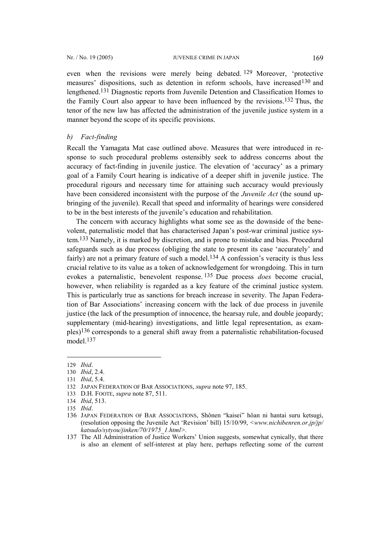<span id="page-16-8"></span>even when the revisions were merely being debated. [129](#page-16-0) Moreover, 'protective measures' dispositions, such as detention in reform schools, have increased<sup>130</sup> and lengthened.[131](#page-16-2) Diagnostic reports from Juvenile Detention and Classification Homes to the Family Court also appear to have been influenced by the revisions.[132](#page-16-3) Thus, the tenor of the new law has affected the administration of the juvenile justice system in a manner beyond the scope of its specific provisions.

## *b) Fact-finding*

Recall the Yamagata Mat case outlined above. Measures that were introduced in response to such procedural problems ostensibly seek to address concerns about the accuracy of fact-finding in juvenile justice. The elevation of 'accuracy' as a primary goal of a Family Court hearing is indicative of a deeper shift in juvenile justice. The procedural rigours and necessary time for attaining such accuracy would previously have been considered inconsistent with the purpose of the *Juvenile Act* (the sound upbringing of the juvenile). Recall that speed and informality of hearings were considered to be in the best interests of the juvenile's education and rehabilitation.

The concern with accuracy highlights what some see as the downside of the benevolent, paternalistic model that has characterised Japan's post-war criminal justice system. [133](#page-16-4) Namely, it is marked by discretion, and is prone to mistake and bias. Procedural safeguards such as due process (obliging the state to present its case 'accurately' and fairly) are not a primary feature of such a model.<sup>[134](#page-16-5)</sup> A confession's veracity is thus less crucial relative to its value as a token of acknowledgement for wrongdoing. This in turn evokes a paternalistic, benevolent response. [135](#page-16-6) Due process *does* become crucial, however, when reliability is regarded as a key feature of the criminal justice system. This is particularly true as sanctions for breach increase in severity. The Japan Federation of Bar Associations' increasing concern with the lack of due process in juvenile justice (the lack of the presumption of innocence, the hearsay rule, and double jeopardy; supplementary (mid-hearing) investigations, and little legal representation, as examples)[136](#page-16-7) corresponds to a general shift away from a paternalistic rehabilitation-focused model[.137](#page-16-8) 

<span id="page-16-0"></span><sup>129</sup> *Ibid*.

<span id="page-16-1"></span><sup>130</sup> *Ibid*, 2.4.

<span id="page-16-2"></span><sup>131</sup> *Ibid*, 5.4.

<span id="page-16-3"></span><sup>132</sup> JAPAN FEDERATION OF BAR ASSOCIATIONS, *supra* note 97, 185.

<span id="page-16-4"></span><sup>133</sup> D.H. FOOTE, *supra* note 87, 511.

<span id="page-16-5"></span><sup>134</sup> *Ibid*, 513.

<span id="page-16-6"></span><sup>135</sup> *Ibid*.

<span id="page-16-7"></span><sup>136</sup> JAPAN FEDERATION OF BAR ASSOCIATIONS, Shônen "kaisei" hôan ni hantai suru ketsugi, (resolution opposing the Juvenile Act 'Revision' bill) 15/10/99, *<[www.nichibenren.or.jp/jp/](http://www.nichibenren.or.jp/jp/ katsudo/sytyou/jinken/70/1975_1.html)  [katsudo/sytyou/jinken/70/1975\\_1.html](http://www.nichibenren.or.jp/jp/ katsudo/sytyou/jinken/70/1975_1.html)>.*

<sup>137</sup> The All Administration of Justice Workers' Union suggests, somewhat cynically, that there is also an element of self-interest at play here, perhaps reflecting some of the current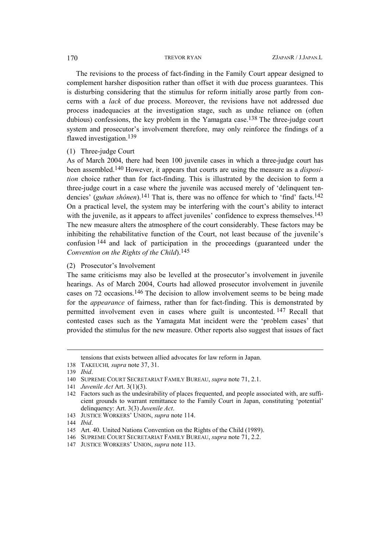The revisions to the process of fact-finding in the Family Court appear designed to complement harsher disposition rather than offset it with due process guarantees. This is disturbing considering that the stimulus for reform initially arose partly from concerns with a *lack* of due process. Moreover, the revisions have not addressed due process inadequacies at the investigation stage, such as undue reliance on (often dubious) confessions, the key problem in the Yamagata case[.138](#page-17-0) The three-judge court system and prosecutor's involvement therefore, may only reinforce the findings of a flawed investigation.<sup>139</sup>

(1) Three-judge Court

As of March 2004, there had been 100 juvenile cases in which a three-judge court has been assembled.[140](#page-17-2) However, it appears that courts are using the measure as a *disposition* choice rather than for fact-finding. This is illustrated by the decision to form a three-judge court in a case where the juvenile was accused merely of 'delinquent tendencies' (*guhan shônen*).<sup>[141](#page-17-3)</sup> That is, there was no offence for which to 'find' facts.<sup>[142](#page-17-4)</sup> On a practical level, the system may be interfering with the court's ability to interact with the juvenile, as it appears to affect juveniles' confidence to express themselves.<sup>[143](#page-17-5)</sup> The new measure alters the atmosphere of the court considerably. These factors may be inhibiting the rehabilitative function of the Court, not least because of the juvenile's confusion [144](#page-17-6) and lack of participation in the proceedings (guaranteed under the *Convention on the Rights of the Child*).[145](#page-17-7)

(2) Prosecutor's Involvement

The same criticisms may also be levelled at the prosecutor's involvement in juvenile hearings. As of March 2004, Courts had allowed prosecutor involvement in juvenile cases on 72 occasions.[146](#page-17-8) The decision to allow involvement seems to be being made for the *appearance* of fairness, rather than for fact-finding. This is demonstrated by permitted involvement even in cases where guilt is uncontested. [147](#page-17-9) Recall that contested cases such as the Yamagata Mat incident were the 'problem cases' that provided the stimulus for the new measure. Other reports also suggest that issues of fact

<span id="page-17-0"></span>tensions that exists between allied advocates for law reform in Japan.

<sup>138</sup> TAKEUCHI*, supra* note 37, 31.

<span id="page-17-1"></span><sup>139</sup> *Ibid*.

<span id="page-17-2"></span><sup>140</sup> SUPREME COURT SECRETARIAT FAMILY BUREAU, *supra* note 71, 2.1.

<span id="page-17-3"></span><sup>141</sup> *Juvenile Act* Art. 3(1)(3).

<span id="page-17-4"></span><sup>142</sup> Factors such as the undesirability of places frequented, and people associated with, are sufficient grounds to warrant remittance to the Family Court in Japan, constituting 'potential' delinquency: Art. 3(3) *Juvenile Act*.

<span id="page-17-5"></span><sup>143</sup> JUSTICE WORKERS' UNION, *supra* note 114.

<span id="page-17-6"></span><sup>144</sup> *Ibid*.

<span id="page-17-7"></span><sup>145</sup> Art. 40. United Nations Convention on the Rights of the Child (1989).

<span id="page-17-8"></span><sup>146</sup> SUPREME COURT SECRETARIAT FAMILY BUREAU, *supra* note 71, 2.2.

<span id="page-17-9"></span><sup>147</sup> JUSTICE WORKERS' UNION, *supra* note 113.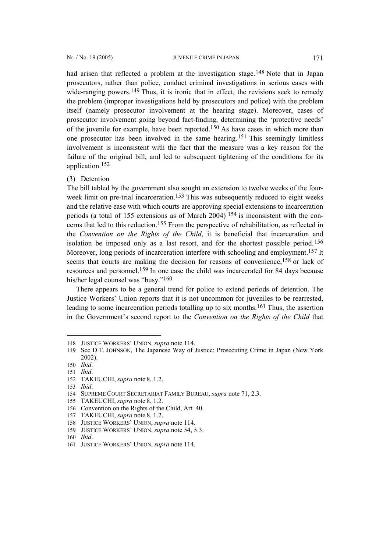had arisen that reflected a problem at the investigation stage.<sup>[148](#page-18-0)</sup> Note that in Japan prosecutors, rather than police, conduct criminal investigations in serious cases with wide-ranging powers.<sup>[149](#page-18-1)</sup> Thus, it is ironic that in effect, the revisions seek to remedy the problem (improper investigations held by prosecutors and police) with the problem itself (namely prosecutor involvement at the hearing stage). Moreover, cases of prosecutor involvement going beyond fact-finding, determining the 'protective needs' of the juvenile for example, have been reported.<sup>[150](#page-18-2)</sup> As have cases in which more than one prosecutor has been involved in the same hearing.[151](#page-18-3) This seemingly limitless involvement is inconsistent with the fact that the measure was a key reason for the failure of the original bill, and led to subsequent tightening of the conditions for its application.[152](#page-18-4)

(3) Detention

The bill tabled by the government also sought an extension to twelve weeks of the fourweek limit on pre-trial incarceration.<sup>153</sup> This was subsequently reduced to eight weeks and the relative ease with which courts are approving special extensions to incarceration periods (a total of 155 extensions as of March 2004) [154](#page-18-6) is inconsistent with the concerns that led to this reduction.[155](#page-18-7) From the perspective of rehabilitation, as reflected in the *Convention on the Rights of the Child*, it is beneficial that incarceration and isolation be imposed only as a last resort, and for the shortest possible period.[156](#page-18-8)  Moreover, long periods of incarceration interfere with schooling and employment.[157](#page-18-9) It seems that courts are making the decision for reasons of convenience,<sup>[158](#page-18-10)</sup> or lack of resources and personnel[.159](#page-18-11) In one case the child was incarcerated for 84 days because his/her legal counsel was "busy.["160](#page-18-12) 

There appears to be a general trend for police to extend periods of detention. The Justice Workers' Union reports that it is not uncommon for juveniles to be rearrested, leading to some incarceration periods totalling up to six months.[161](#page-18-13) Thus, the assertion in the Government's second report to the *Convention on the Rights of the Child* that

 $\overline{a}$ 

<span id="page-18-7"></span>155 TAKEUCHI, *supra* note 8, 1.2.

<span id="page-18-9"></span>157 TAKEUCHI, *supra* note 8, 1.2.

<span id="page-18-0"></span><sup>148</sup> JUSTICE WORKERS' UNION, *supra* note 114.

<span id="page-18-1"></span><sup>149</sup> See D.T. JOHNSON, The Japanese Way of Justice: Prosecuting Crime in Japan (New York 2002).

<span id="page-18-2"></span><sup>150</sup> *Ibid*.

<span id="page-18-3"></span><sup>151</sup> *Ibid*.

<span id="page-18-4"></span><sup>152</sup> TAKEUCHI, *supra* note 8, 1.2.

<span id="page-18-5"></span><sup>153</sup> *Ibid*.

<span id="page-18-6"></span><sup>154</sup> SUPREME COURT SECRETARIAT FAMILY BUREAU, *supra* note 71, 2.3.

<span id="page-18-8"></span><sup>156</sup> Convention on the Rights of the Child, Art. 40.

<span id="page-18-10"></span><sup>158</sup> JUSTICE WORKERS' UNION, *supra* note 114.

<span id="page-18-11"></span><sup>159</sup> JUSTICE WORKERS' UNION, *supra* note 54, 5.3.

<span id="page-18-12"></span><sup>160</sup> *Ibid*.

<span id="page-18-13"></span><sup>161</sup> JUSTICE WORKERS' UNION, *supra* note 114.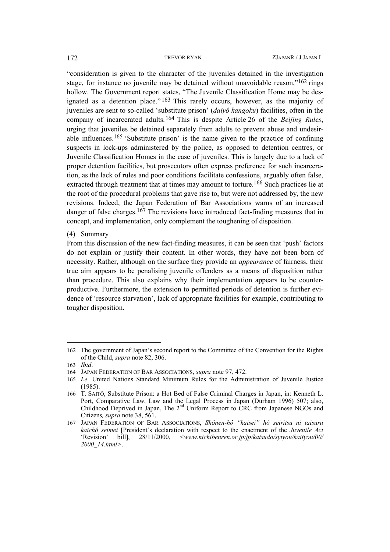"consideration is given to the character of the juveniles detained in the investigation stage, for instance no juvenile may be detained without unavoidable reason,"[162](#page-19-0) rings hollow. The Government report states, "The Juvenile Classification Home may be designated as a detention place."  $163$  This rarely occurs, however, as the majority of juveniles are sent to so-called 'substitute prison' (*daiyô kangoku*) facilities, often in the company of incarcerated adults.[164](#page-19-2) This is despite Article 26 of the *Beijing Rules*, urging that juveniles be detained separately from adults to prevent abuse and undesir-able influences.<sup>[165](#page-19-3)</sup> 'Substitute prison' is the name given to the practice of confining suspects in lock-ups administered by the police, as opposed to detention centres, or Juvenile Classification Homes in the case of juveniles. This is largely due to a lack of proper detention facilities, but prosecutors often express preference for such incarceration, as the lack of rules and poor conditions facilitate confessions, arguably often false, extracted through treatment that at times may amount to torture.<sup>166</sup> Such practices lie at the root of the procedural problems that gave rise to, but were not addressed by, the new revisions. Indeed, the Japan Federation of Bar Associations warns of an increased danger of false charges.<sup>[167](#page-19-5)</sup> The revisions have introduced fact-finding measures that in concept, and implementation, only complement the toughening of disposition.

(4) Summary

From this discussion of the new fact-finding measures, it can be seen that 'push' factors do not explain or justify their content. In other words, they have not been born of necessity. Rather, although on the surface they provide an *appearance* of fairness, their true aim appears to be penalising juvenile offenders as a means of disposition rather than procedure. This also explains why their implementation appears to be counterproductive. Furthermore, the extension to permitted periods of detention is further evidence of 'resource starvation', lack of appropriate facilities for example, contributing to tougher disposition.

<span id="page-19-0"></span><sup>162</sup> The government of Japan's second report to the Committee of the Convention for the Rights of the Child, *supra* note 82, 306.

<span id="page-19-1"></span><sup>163</sup> *Ibid*.

<span id="page-19-2"></span><sup>164</sup> JAPAN FEDERATION OF BAR ASSOCIATIONS, *supra* note 97, 472.

<span id="page-19-3"></span><sup>165</sup> *I.e.* United Nations Standard Minimum Rules for the Administration of Juvenile Justice (1985).

<span id="page-19-4"></span><sup>166</sup> T. SAITÔ, Substitute Prison: a Hot Bed of False Criminal Charges in Japan, in: Kenneth L. Port, Comparative Law, Law and the Legal Process in Japan (Durham 1996) 507; also, Childhood Deprived in Japan, The 2<sup>nd</sup> Uniform Report to CRC from Japanese NGOs and Citizens*, supra* note 38, 561.

<span id="page-19-5"></span><sup>167</sup> JAPAN FEDERATION OF BAR ASSOCIATIONS, *Shônen-hô "kaisei" hô seiritsu ni taisuru kaichô seimei* [President's declaration with respect to the enactment of the *Juvenile Act* 'Revision' bill], 28/11/2000, *<[www.nichibenren.or.jp/jp/katsudo/sytyou/kaityou/00/](http://www.nichibenren.or.jp/jp/katsudo/sytyou/kaityou/00/ 2000_14.html) [2000\\_14.html>](http://www.nichibenren.or.jp/jp/katsudo/sytyou/kaityou/00/ 2000_14.html)*.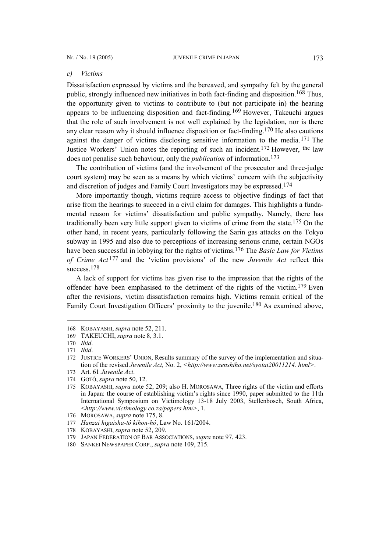### *c) Victims*

Dissatisfaction expressed by victims and the bereaved, and sympathy felt by the general public, strongly influenced new initiatives in both fact-finding and disposition.[168](#page-20-0) Thus, the opportunity given to victims to contribute to (but not participate in) the hearing appears to be influencing disposition and fact-finding.[169](#page-20-1) However, Takeuchi argues that the role of such involvement is not well explained by the legislation, nor is there any clear reason why it should influence disposition or fact-finding. [170](#page-20-2) He also cautions against the danger of victims disclosing sensitive information to the media.[171](#page-20-3) The Justice Workers' Union notes the reporting of such an incident.[172](#page-20-4) However, the law does not penalise such behaviour, only the *publication* of information.[173](#page-20-5)

The contribution of victims (and the involvement of the prosecutor and three-judge court system) may be seen as a means by which victims' concern with the subjectivity and discretion of judges and Family Court Investigators may be expressed.[174](#page-20-6)

More importantly though, victims require access to objective findings of fact that arise from the hearings to succeed in a civil claim for damages. This highlights a fundamental reason for victims' dissatisfaction and public sympathy. Namely, there has traditionally been very little support given to victims of crime from the state[.175](#page-20-7) On the other hand, in recent years, particularly following the Sarin gas attacks on the Tokyo subway in 1995 and also due to perceptions of increasing serious crime, certain NGOs have been successful in lobbying for the rights of victims.[176](#page-20-8) The *Basic Law for Victims of Crime Act* [177](#page-20-9) and the 'victim provisions' of the new *Juvenile Act* reflect this success.<sup>178</sup>

A lack of support for victims has given rise to the impression that the rights of the offender have been emphasised to the detriment of the rights of the victim. [179](#page-20-11) Even after the revisions, victim dissatisfaction remains high. Victims remain critical of the Family Court Investigation Officers' proximity to the juvenile.<sup>[180](#page-20-12)</sup> As examined above,

<span id="page-20-0"></span><sup>168</sup> KOBAYASHI, *supra* note 52, 211.

<span id="page-20-1"></span><sup>169</sup> TAKEUCHI, *supra* note 8, 3.1.

<span id="page-20-2"></span><sup>170</sup> *Ibid*.

<span id="page-20-3"></span><sup>171</sup> *Ibid*.

<span id="page-20-4"></span><sup>172</sup> JUSTICE WORKERS' UNION, Results summary of the survey of the implementation and situation of the revised *Juvenile Act*, No. 2, [<http://www.zenshiho.net/syotai20011214. html>](http://www.zenshiho.net/syotai20011214.html).

<span id="page-20-5"></span><sup>173</sup> Art. 61 *Juvenile Act*.

<span id="page-20-6"></span><sup>174</sup> GOTÔ, *supra* note 50, 12.

<span id="page-20-7"></span><sup>175</sup> KOBAYASHI, *supra* note 52, 209; also H. MOROSAWA, Three rights of the victim and efforts in Japan: the course of establishing victim's rights since 1990, paper submitted to the 11th International Symposium on Victimology 13-18 July 2003, Stellenbosch, South Africa, *<<http://www.victimology.co.za/papers.htm>>*, 1.

<span id="page-20-8"></span><sup>176</sup> MOROSAWA, *supra* note 175, 8.

<span id="page-20-9"></span><sup>177</sup> *Hanzai higaisha-tô kihon-hô*, Law No. 161/2004.

<span id="page-20-10"></span><sup>178</sup> KOBAYASHI, *supra* note 52, 209.

<span id="page-20-11"></span><sup>179</sup> JAPAN FEDERATION OF BAR ASSOCIATIONS, *supra* note 97, 423.

<span id="page-20-12"></span><sup>180</sup> SANKEI NEWSPAPER CORP., *supra* note 109, 215.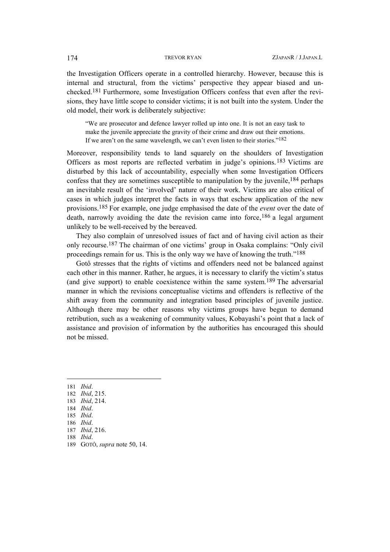the Investigation Officers operate in a controlled hierarchy. However, because this is internal and structural, from the victims' perspective they appear biased and unchecked.[181](#page-21-0) Furthermore, some Investigation Officers confess that even after the revisions, they have little scope to consider victims; it is not built into the system. Under the old model, their work is deliberately subjective:

"We are prosecutor and defence lawyer rolled up into one. It is not an easy task to make the juvenile appreciate the gravity of their crime and draw out their emotions. If we aren't on the same wavelength, we can't even listen to their stories.["182](#page-21-1)

Moreover, responsibility tends to land squarely on the shoulders of Investigation Officers as most reports are reflected verbatim in judge's opinions.[183](#page-21-2) Victims are disturbed by this lack of accountability, especially when some Investigation Officers confess that they are sometimes susceptible to manipulation by the juvenile,  $184$  perhaps an inevitable result of the 'involved' nature of their work. Victims are also critical of cases in which judges interpret the facts in ways that eschew application of the new provisions.[185](#page-21-4) For example, one judge emphasised the date of the *event* over the date of death, narrowly avoiding the date the revision came into force,  $186$  a legal argument unlikely to be well-received by the bereaved.

They also complain of unresolved issues of fact and of having civil action as their only recourse[.187](#page-21-6) The chairman of one victims' group in Osaka complains: "Only civil proceedings remain for us. This is the only way we have of knowing the truth."[188](#page-21-7) 

Gotô stresses that the rights of victims and offenders need not be balanced against each other in this manner. Rather, he argues, it is necessary to clarify the victim's status (and give support) to enable coexistence within the same system. [189](#page-21-8) The adversarial manner in which the revisions conceptualise victims and offenders is reflective of the shift away from the community and integration based principles of juvenile justice. Although there may be other reasons why victims groups have begun to demand retribution, such as a weakening of community values, Kobayashi's point that a lack of assistance and provision of information by the authorities has encouraged this should not be missed.

<span id="page-21-0"></span>181 *Ibid*.

- <span id="page-21-1"></span>182 *Ibid*, 215.
- <span id="page-21-2"></span>183 *Ibid*, 214.
- <span id="page-21-3"></span>184 *Ibid*.
- <span id="page-21-4"></span>185 *Ibid*.
- <span id="page-21-5"></span>186 *Ibid*.
- <span id="page-21-6"></span>187 *Ibid*, 216.
- <span id="page-21-7"></span>188 *Ibid*.
- <span id="page-21-8"></span>189 GOTÔ, *supra* note 50, 14.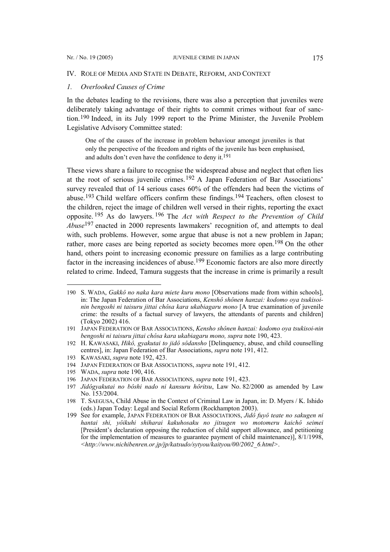## IV. ROLE OF MEDIA AND STATE IN DEBATE, REFORM, AND CONTEXT

## *1. Overlooked Causes of Crime*

In the debates leading to the revisions, there was also a perception that juveniles were deliberately taking advantage of their rights to commit crimes without fear of sanction.[190](#page-22-0) Indeed, in its July 1999 report to the Prime Minister, the Juvenile Problem Legislative Advisory Committee stated:

One of the causes of the increase in problem behaviour amongst juveniles is that only the perspective of the freedom and rights of the juvenile has been emphasised, and adults don't even have the confidence to deny it.[191](#page-22-1)

These views share a failure to recognise the widespread abuse and neglect that often lies at the root of serious juvenile crimes.[192](#page-22-2) A Japan Federation of Bar Associations' survey revealed that of 14 serious cases 60% of the offenders had been the victims of abuse.[193](#page-22-3) Child welfare officers confirm these findings.[194](#page-22-4) Teachers, often closest to the children, reject the image of children well versed in their rights, reporting the exact opposite. [195](#page-22-5) As do lawyers. [196](#page-22-6) The *Act with Respect to the Prevention of Child Abuse*[197](#page-22-7) enacted in 2000 represents lawmakers' recognition of, and attempts to deal with, such problems. However, some argue that abuse is not a new problem in Japan; rather, more cases are being reported as society becomes more open.[198](#page-22-8) On the other hand, others point to increasing economic pressure on families as a large contributing factor in the increasing incidences of abuse.<sup>[199](#page-22-9)</sup> Economic factors are also more directly related to crime. Indeed, Tamura suggests that the increase in crime is primarily a result

<span id="page-22-0"></span><sup>190</sup> S. WADA, *Gakkô no naka kara miete kuru mono* [Observations made from within schools], in: The Japan Federation of Bar Associations, *Kenshô shônen hanzai: kodomo oya tsukisoinin bengoshi ni taisuru jittai chôsa kara ukabiagaru mono* [A true examination of juvenile crime: the results of a factual survey of lawyers, the attendants of parents and children] (Tokyo 2002) 416.

<span id="page-22-1"></span><sup>191</sup> JAPAN FEDERATION OF BAR ASSOCIATIONS, *Kensho shônen hanzai: kodomo oya tsukisoi-nin bengoshi ni taisuru jittai chôsa kara ukabiagaru mono, supra* note 190, 423.

<span id="page-22-2"></span><sup>192</sup> H. KAWASAKI, *Hikô, gyakutai to jidô sôdansho* [Delinquency, abuse, and child counselling centres], in: Japan Federation of Bar Associations, *supra* note 191, 412.

<span id="page-22-3"></span><sup>193</sup> KAWASAKI, *supra* note 192, 423.

<span id="page-22-4"></span><sup>194</sup> JAPAN FEDERATION OF BAR ASSOCIATIONS, *supra* note 191, 412.

<span id="page-22-5"></span><sup>195</sup> WADA, *supra* note 190, 416.

<span id="page-22-6"></span><sup>196</sup> JAPAN FEDERATION OF BAR ASSOCIATIONS, *supra* note 191, 423.

<span id="page-22-7"></span><sup>197</sup> *Jidôgyakutai no bôshi nado ni kansuru hôritsu*, Law No. 82/2000 as amended by Law No. 153/2004.

<span id="page-22-8"></span><sup>198</sup> T. SAEGUSA, Child Abuse in the Context of Criminal Law in Japan, in: D. Myers / K. Ishido (eds.) Japan Today: Legal and Social Reform (Rockhampton 2003).

<span id="page-22-9"></span><sup>199</sup> See for example, JAPAN FEDERATION OF BAR ASSOCIATIONS, *Jidô fuyô teate no sakugen ni hantai shi, yôikuhi shiharai kakuhosaku no jitsugen wo motomeru kaichô seimei* [President's declaration opposing the reduction of child support allowance, and petitioning for the implementation of measures to guarantee payment of child maintenance)], 8/1/1998, *<[http://www.nichibenren.or.jp/jp/katsudo/sytyou/kaityou/00/2002\\_6.html>](http://www.nichibenren.or.jp/jp/katsudo/sytyou/kaityou/00/2002_6.html)*.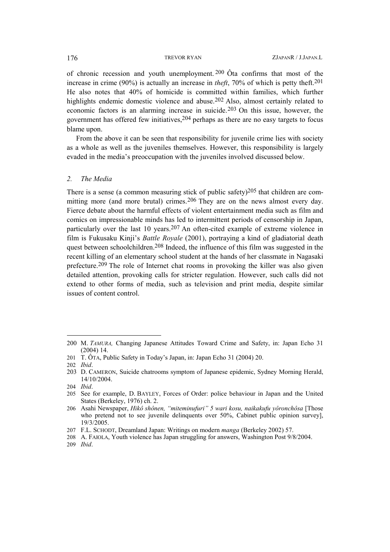of chronic recession and youth unemployment. [200](#page-23-0) Ôta confirms that most of the increase in crime (90%) is actually an increase in *theft*, 70% of which is petty theft.<sup>[201](#page-23-1)</sup> He also notes that 40% of homicide is committed within families, which further highlights endemic domestic violence and abuse.<sup>[202](#page-23-2)</sup> Also, almost certainly related to economic factors is an alarming increase in suicide.[203](#page-23-3) On this issue, however, the government has offered few initiatives,  $204$  perhaps as there are no easy targets to focus blame upon.

From the above it can be seen that responsibility for juvenile crime lies with society as a whole as well as the juveniles themselves. However, this responsibility is largely evaded in the media's preoccupation with the juveniles involved discussed below.

## *2. The Media*

There is a sense (a common measuring stick of public safety)<sup>[205](#page-23-5)</sup> that children are com-mitting more (and more brutal) crimes.<sup>[206](#page-23-6)</sup> They are on the news almost every day. Fierce debate about the harmful effects of violent entertainment media such as film and comics on impressionable minds has led to intermittent periods of censorship in Japan, particularly over the last 10 years.<sup>[207](#page-23-7)</sup> An often-cited example of extreme violence in film is Fukusaku Kinji's *Battle Royale* (2001), portraying a kind of gladiatorial death quest between schoolchildren[.208](#page-23-8) Indeed, the influence of this film was suggested in the recent killing of an elementary school student at the hands of her classmate in Nagasaki prefecture.[209](#page-23-9) The role of Internet chat rooms in provoking the killer was also given detailed attention, provoking calls for stricter regulation. However, such calls did not extend to other forms of media, such as television and print media, despite similar issues of content control.

 $\overline{a}$ 

<span id="page-23-0"></span><sup>200</sup> M. *TAMURA,* Changing Japanese Attitudes Toward Crime and Safety, in: Japan Echo 31 (2004) 14.

<span id="page-23-1"></span><sup>201</sup> T. ÔTA, Public Safety in Today's Japan, in: Japan Echo 31 (2004) 20.

<span id="page-23-2"></span><sup>202</sup> *Ibid*.

<span id="page-23-3"></span><sup>203</sup> D. CAMERON, Suicide chatrooms symptom of Japanese epidemic, Sydney Morning Herald, 14/10/2004.

<span id="page-23-4"></span><sup>204</sup> *Ibid*.

<span id="page-23-5"></span><sup>205</sup> See for example, D. BAYLEY, Forces of Order: police behaviour in Japan and the United States (Berkeley, 1976) ch. 2.

<span id="page-23-6"></span><sup>206</sup> Asahi Newspaper, *Hikô shônen, "miteminufuri" 5 wari kosu, naikakufu yôronchôsa* [Those who pretend not to see juvenile delinquents over 50%, Cabinet public opinion survey], 19/3/2005.

<span id="page-23-7"></span><sup>207</sup> F.L. SCHODT, Dreamland Japan: Writings on modern *manga* (Berkeley 2002) 57.

<span id="page-23-8"></span><sup>208</sup> A. FAIOLA, Youth violence has Japan struggling for answers, Washington Post 9/8/2004.

<span id="page-23-9"></span><sup>209</sup> *Ibid*.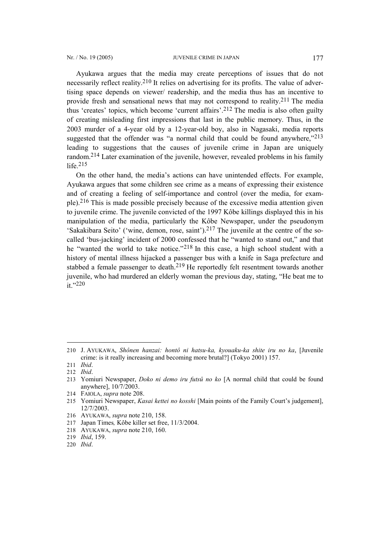Ayukawa argues that the media may create perceptions of issues that do not necessarily reflect reality.<sup>[210](#page-24-0)</sup> It relies on advertising for its profits. The value of advertising space depends on viewer/ readership, and the media thus has an incentive to provide fresh and sensational news that may not correspond to reality. [211](#page-24-1) The media thus 'creates' topics, which become 'current affairs'.[212](#page-24-2) The media is also often guilty of creating misleading first impressions that last in the public memory. Thus, in the 2003 murder of a 4-year old by a 12-year-old boy, also in Nagasaki, media reports suggested that the offender was "a normal child that could be found anywhere,"<sup>[213](#page-24-3)</sup> leading to suggestions that the causes of juvenile crime in Japan are uniquely random. [214](#page-24-4) Later examination of the juvenile, however, revealed problems in his family life.[215](#page-24-5) 

On the other hand, the media's actions can have unintended effects. For example, Ayukawa argues that some children see crime as a means of expressing their existence and of creating a feeling of self-importance and control (over the media, for example)[.216](#page-24-6) This is made possible precisely because of the excessive media attention given to juvenile crime. The juvenile convicted of the 1997 Kôbe killings displayed this in his manipulation of the media, particularly the Kôbe Newspaper, under the pseudonym 'Sakakibara Seito' ('wine, demon, rose, saint').[217](#page-24-7) The juvenile at the centre of the socalled 'bus-jacking' incident of 2000 confessed that he "wanted to stand out," and that he "wanted the world to take notice."[218](#page-24-8) In this case, a high school student with a history of mental illness hijacked a passenger bus with a knife in Saga prefecture and stabbed a female passenger to death.[219](#page-24-9) He reportedly felt resentment towards another juvenile, who had murdered an elderly woman the previous day, stating, "He beat me to it."[220](#page-24-10)

<span id="page-24-0"></span><sup>210</sup> J. AYUKAWA, *Shônen hanzai: hontô ni hatsu-ka, kyouaku-ka shite iru no ka*, [Juvenile crime: is it really increasing and becoming more brutal?] (Tokyo 2001) 157.

<span id="page-24-1"></span><sup>211</sup> *Ibid*.

<span id="page-24-2"></span><sup>212</sup> *Ibid*.

<span id="page-24-3"></span><sup>213</sup> Yomiuri Newspaper, *Doko ni demo iru futsû no ko* [A normal child that could be found anywhere], 10/7/2003.

<span id="page-24-4"></span><sup>214</sup> FAIOLA, *supra* note 208.

<span id="page-24-5"></span><sup>215</sup> Yomiuri Newspaper, *Kasai kettei no kosshi* [Main points of the Family Court's judgement], 12/7/2003.

<span id="page-24-6"></span><sup>216</sup> AYUKAWA, *supra* note 210, 158.

<span id="page-24-7"></span><sup>217</sup> Japan Times*,* Kôbe killer set free, 11/3/2004.

<span id="page-24-8"></span><sup>218</sup> AYUKAWA, *supra* note 210, 160.

<span id="page-24-9"></span><sup>219</sup> *Ibid*, 159.

<span id="page-24-10"></span><sup>220</sup> *Ibid*.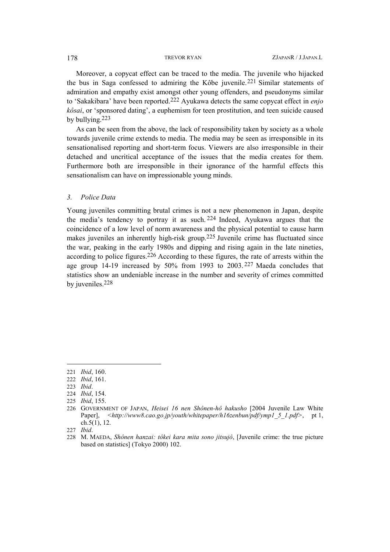Moreover, a copycat effect can be traced to the media. The juvenile who hijacked the bus in Saga confessed to admiring the Kôbe juvenile.[221](#page-25-0) Similar statements of admiration and empathy exist amongst other young offenders, and pseudonyms similar to 'Sakakibara' have been reported.[222](#page-25-1) Ayukawa detects the same copycat effect in *enjo kôsai*, or 'sponsored dating', a euphemism for teen prostitution, and teen suicide caused by bullying. [223](#page-25-2)

As can be seen from the above, the lack of responsibility taken by society as a whole towards juvenile crime extends to media. The media may be seen as irresponsible in its sensationalised reporting and short-term focus. Viewers are also irresponsible in their detached and uncritical acceptance of the issues that the media creates for them. Furthermore both are irresponsible in their ignorance of the harmful effects this sensationalism can have on impressionable young minds.

## *3. Police Data*

Young juveniles committing brutal crimes is not a new phenomenon in Japan, despite the media's tendency to portray it as such. [224](#page-25-3) Indeed, Ayukawa argues that the coincidence of a low level of norm awareness and the physical potential to cause harm makes juveniles an inherently high-risk group.[225](#page-25-4) Juvenile crime has fluctuated since the war, peaking in the early 1980s and dipping and rising again in the late nineties, according to police figures.[226](#page-25-5) According to these figures, the rate of arrests within the age group 14-19 increased by 50% from 1993 to 2003. [227](#page-25-6) Maeda concludes that statistics show an undeniable increase in the number and severity of crimes committed by juveniles.[228](#page-25-7) 

<span id="page-25-0"></span><sup>221</sup> *Ibid*, 160.

<span id="page-25-1"></span><sup>222</sup> *Ibid*, 161.

<span id="page-25-2"></span><sup>223</sup> *Ibid*.

<span id="page-25-3"></span><sup>224</sup> *Ibid*, 154.

<span id="page-25-4"></span><sup>225</sup> *Ibid*, 155.

<span id="page-25-5"></span><sup>226</sup> GOVERNMENT OF JAPAN, *Heisei 16 nen Shônen-hô hakusho* [2004 Juvenile Law White Paper], [<http://www8.cao.go.jp/youth/whitepaper/h16zenbun/pdf/ymp1\\_5\\_1.pdf>](http://www8.cao.go.jp/youth/whitepaper/h16zenbun/pdf/ymp1_5_1.pdf), pt 1, ch.5(1), 12.

<span id="page-25-6"></span><sup>227</sup> *Ibid*.

<span id="page-25-7"></span><sup>228</sup> M. MAEDA, *Shônen hanzai: tôkei kara mita sono jitsujô*, [Juvenile crime: the true picture based on statistics] (Tokyo 2000) 102.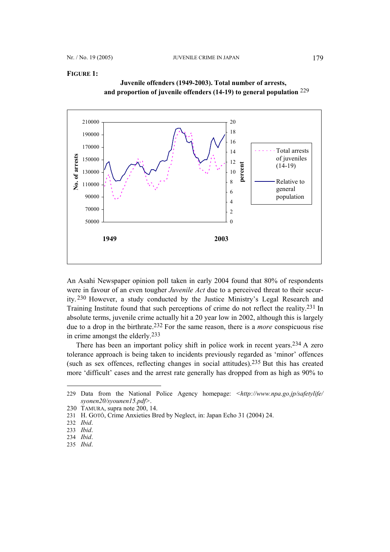## **FIGURE 1:**



 **Juvenile offenders (1949-2003). Total number of arrests, and proportion of juvenile offenders (14-19) to general population** [229](#page-26-0)

An Asahi Newspaper opinion poll taken in early 2004 found that 80% of respondents were in favour of an even tougher *Juvenile Act* due to a perceived threat to their security. [230](#page-26-1) However, a study conducted by the Justice Ministry's Legal Research and Training Institute found that such perceptions of crime do not reflect the reality. [231](#page-26-2) In absolute terms, juvenile crime actually hit a 20 year low in 2002, although this is largely due to a drop in the birthrate.[232](#page-26-3) For the same reason, there is a *more* conspicuous rise in crime amongst the elderly. [233](#page-26-4)

There has been an important policy shift in police work in recent years.<sup>234</sup> A zero tolerance approach is being taken to incidents previously regarded as 'minor' offences (such as sex offences, reflecting changes in social attitudes).[235](#page-26-6) But this has created more 'difficult' cases and the arrest rate generally has dropped from as high as 90% to

<span id="page-26-0"></span><sup>229</sup> Data from the National Police Agency homepage: *<[http://www.npa.go.jp/safetylife/](http://www.npa.go.jp/safetylife/ syonen20/syounen15.pdf)  [syonen20/syounen15.pdf](http://www.npa.go.jp/safetylife/ syonen20/syounen15.pdf)>*.

<span id="page-26-1"></span><sup>230</sup> TAMURA, supra note 200, 14.

<span id="page-26-2"></span><sup>231</sup> H. GOTÔ, Crime Anxieties Bred by Neglect, in: Japan Echo 31 (2004) 24.

<span id="page-26-3"></span><sup>232</sup> *Ibid*.

<span id="page-26-4"></span><sup>233</sup> *Ibid*.

<span id="page-26-5"></span><sup>234</sup> *Ibid*.

<span id="page-26-6"></span><sup>235</sup> *Ibid*.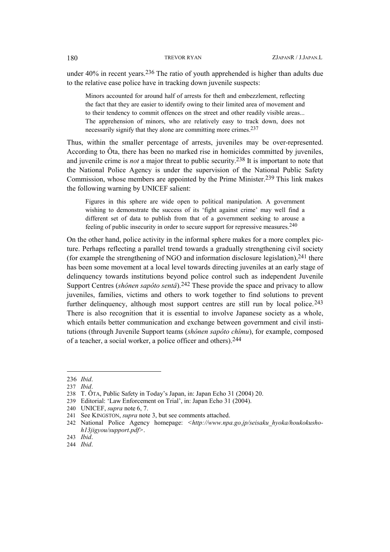under 40% in recent years.[236](#page-27-0) The ratio of youth apprehended is higher than adults due to the relative ease police have in tracking down juvenile suspects:

Minors accounted for around half of arrests for theft and embezzlement, reflecting the fact that they are easier to identify owing to their limited area of movement and to their tendency to commit offences on the street and other readily visible areas... The apprehension of minors, who are relatively easy to track down, does not necessarily signify that they alone are committing more crimes.[237](#page-27-1)

Thus, within the smaller percentage of arrests, juveniles may be over-represented. According to Ôta, there has been no marked rise in homicides committed by juveniles, and juvenile crime is *not* a major threat to public security. [238](#page-27-2) It is important to note that the National Police Agency is under the supervision of the National Public Safety Commission, whose members are appointed by the Prime Minister.[239](#page-27-3) This link makes the following warning by UNICEF salient:

Figures in this sphere are wide open to political manipulation. A government wishing to demonstrate the success of its 'fight against crime' may well find a different set of data to publish from that of a government seeking to arouse a feeling of public insecurity in order to secure support for repressive measures. [240](#page-27-4)

On the other hand, police activity in the informal sphere makes for a more complex picture. Perhaps reflecting a parallel trend towards a gradually strengthening civil society (for example the strengthening of NGO and information disclosure legislation), $241$  there has been some movement at a local level towards directing juveniles at an early stage of delinquency towards institutions beyond police control such as independent Juvenile Support Centres (*shônen sapôto sentâ*).[242](#page-27-6) These provide the space and privacy to allow juveniles, families, victims and others to work together to find solutions to prevent further delinguency, although most support centres are still run by local police.<sup>[243](#page-27-7)</sup> There is also recognition that it is essential to involve Japanese society as a whole, which entails better communication and exchange between government and civil institutions (through Juvenile Support teams (*shônen sapôto chîmu*), for example, composed of a teacher, a social worker, a police officer and others).[244](#page-27-8)

<span id="page-27-0"></span><sup>236</sup> *Ibid*.

<span id="page-27-1"></span><sup>237</sup> *Ibid*.

<span id="page-27-2"></span><sup>238</sup> T. ÔTA, Public Safety in Today's Japan, in: Japan Echo 31 (2004) 20.

<span id="page-27-3"></span><sup>239</sup> Editorial: 'Law Enforcement on Trial', in: Japan Echo 31 (2004).

<span id="page-27-4"></span><sup>240</sup> UNICEF, *supra* note 6, 7.

<span id="page-27-5"></span><sup>241</sup> See KINGSTON, *supra* note 3, but see comments attached.

<span id="page-27-6"></span><sup>242</sup> National Police Agency homepage: *[<http://www.npa.go.jp/seisaku\\_hyoka/houkokusho](http://www.npa.go.jp/seisaku_hyoka/houkokusho-h13jigyou/support.pdf)[h13jigyou/support.pdf](http://www.npa.go.jp/seisaku_hyoka/houkokusho-h13jigyou/support.pdf)>*.

<span id="page-27-7"></span><sup>243</sup> *Ibid*.

<span id="page-27-8"></span><sup>244</sup> *Ibid*.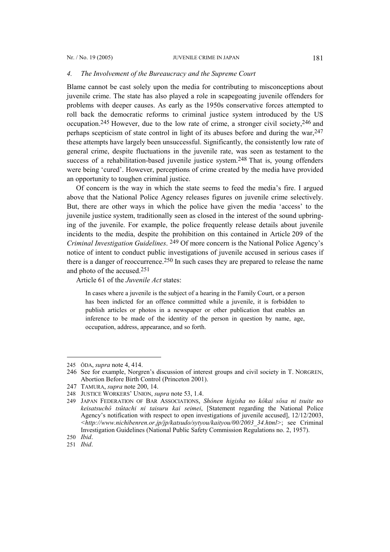### *4. The Involvement of the Bureaucracy and the Supreme Court*

Blame cannot be cast solely upon the media for contributing to misconceptions about juvenile crime. The state has also played a role in scapegoating juvenile offenders for problems with deeper causes. As early as the 1950s conservative forces attempted to roll back the democratic reforms to criminal justice system introduced by the US occupation.<sup>[245](#page-28-0)</sup> However, due to the low rate of crime, a stronger civil society,<sup>246</sup> and perhaps scepticism of state control in light of its abuses before and during the war,[247](#page-28-2) these attempts have largely been unsuccessful. Significantly, the consistently low rate of general crime, despite fluctuations in the juvenile rate, was seen as testament to the success of a rehabilitation-based juvenile justice system.<sup>[248](#page-28-3)</sup> That is, young offenders were being 'cured'. However, perceptions of crime created by the media have provided an opportunity to toughen criminal justice.

Of concern is the way in which the state seems to feed the media's fire. I argued above that the National Police Agency releases figures on juvenile crime selectively. But, there are other ways in which the police have given the media 'access' to the juvenile justice system, traditionally seen as closed in the interest of the sound upbringing of the juvenile. For example, the police frequently release details about juvenile incidents to the media, despite the prohibition on this contained in Article 209 of the *Criminal Investigation Guidelines*. [249](#page-28-4) Of more concern is the National Police Agency's notice of intent to conduct public investigations of juvenile accused in serious cases if there is a danger of reoccurrence.<sup>[250](#page-28-5)</sup> In such cases they are prepared to release the name and photo of the accused.[251](#page-28-6) 

Article 61 of the *Juvenile Act* states:

In cases where a juvenile is the subject of a hearing in the Family Court, or a person has been indicted for an offence committed while a juvenile, it is forbidden to publish articles or photos in a newspaper or other publication that enables an inference to be made of the identity of the person in question by name, age, occupation, address, appearance, and so forth.

 $\overline{\phantom{a}}$ 

<span id="page-28-6"></span>251 *Ibid*.

<span id="page-28-0"></span><sup>245</sup> ÔDA, *supra* note 4, 414.

<span id="page-28-1"></span><sup>246</sup> See for example, Norgren's discussion of interest groups and civil society in T. NORGREN, Abortion Before Birth Control (Princeton 2001).

<span id="page-28-2"></span><sup>247</sup> TAMURA, *supra* note 200, 14.

<span id="page-28-3"></span><sup>248</sup> JUSTICE WORKERS' UNION, *supra* note 53, 1.4.

<span id="page-28-4"></span><sup>249</sup> JAPAN FEDERATION OF BAR ASSOCIATIONS, *Shônen higisha no kôkai sôsa ni tsuite no keisatsuchô tsûtachi ni taisuru kai seimei*, [Statement regarding the National Police Agency's notification with respect to open investigations of juvenile accused], 12/12/2003, *<[http://www.nichibenren.or.jp/jp/katsudo/sytyou/kaityou/00/2003\\_34.html>](http://www.nichibenren.or.jp/jp/katsudo/sytyou/kaityou/00/2003_34.html)*; see Criminal Investigation Guidelines (National Public Safety Commission Regulations no. 2, 1957).

<span id="page-28-5"></span><sup>250</sup> *Ibid*.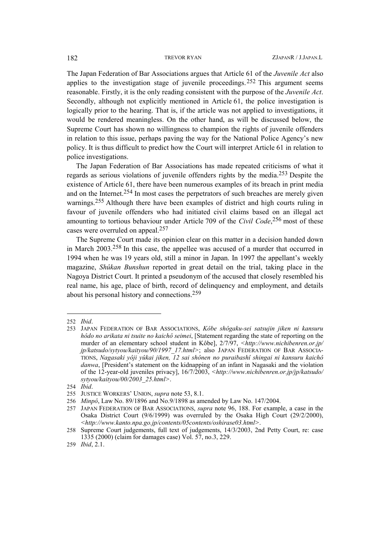The Japan Federation of Bar Associations argues that Article 61 of the *Juvenile Act* also applies to the investigation stage of juvenile proceedings.[252](#page-29-0) This argument seems reasonable. Firstly, it is the only reading consistent with the purpose of the *Juvenile Act*. Secondly, although not explicitly mentioned in Article 61, the police investigation is logically prior to the hearing. That is, if the article was not applied to investigations, it would be rendered meaningless. On the other hand, as will be discussed below, the Supreme Court has shown no willingness to champion the rights of juvenile offenders in relation to this issue, perhaps paving the way for the National Police Agency's new policy. It is thus difficult to predict how the Court will interpret Article 61 in relation to police investigations.

The Japan Federation of Bar Associations has made repeated criticisms of what it regards as serious violations of juvenile offenders rights by the media.[253](#page-29-1) Despite the existence of Article 61, there have been numerous examples of its breach in print media and on the Internet.[254](#page-29-2) In most cases the perpetrators of such breaches are merely given warnings. [255](#page-29-3) Although there have been examples of district and high courts ruling in favour of juvenile offenders who had initiated civil claims based on an illegal act amounting to tortious behaviour under Article 709 of the *Civil Code*, [256](#page-29-4) most of these cases were overruled on appeal.[257](#page-29-5)

The Supreme Court made its opinion clear on this matter in a decision handed down in March 2003.[258](#page-29-6) In this case, the appellee was accused of a murder that occurred in 1994 when he was 19 years old, still a minor in Japan. In 1997 the appellant's weekly magazine, *Shûkan Bunshun* reported in great detail on the trial, taking place in the Nagoya District Court. It printed a pseudonym of the accused that closely resembled his real name, his age, place of birth, record of delinquency and employment, and details about his personal history and connections[.259](#page-29-7)

<span id="page-29-0"></span><sup>252</sup> *Ibid*.

<span id="page-29-1"></span><sup>253</sup> JAPAN FEDERATION OF BAR ASSOCIATIONS, *Kôbe shôgaku-sei satsujin jiken ni kansuru hôdo no arikata ni tsuite no kaichô seimei*, [Statement regarding the state of reporting on the murder of an elementary school student in Kôbe], 2/7/97, *[<http://www.nichibenren.or.jp/](http://www.nichibenren.or.jp/ jp/katsudo/sytyou/kaityou/90/1997_17.html) [jp/katsudo/sytyou/kaityou/90/1997\\_17.html>](http://www.nichibenren.or.jp/ jp/katsudo/sytyou/kaityou/90/1997_17.html)*; also JAPAN FEDERATION OF BAR ASSOCIA-TIONS, *Nagasaki yôji yûkai jiken, 12 sai shônen no puraibashî shingai ni kansuru kaichô danwa*, [President's statement on the kidnapping of an infant in Nagasaki and the violation of the 12-year-old juveniles privacy], 16/7/2003, *<[http://www.nichibenren.or.jp/jp/katsudo/](http://www.nichibenren.or.jp/jp/katsudo/ sytyou/kaityou/00/2003_25.html) [sytyou/kaityou/00/2003\\_25.html](http://www.nichibenren.or.jp/jp/katsudo/ sytyou/kaityou/00/2003_25.html)>*.

<span id="page-29-2"></span><sup>254</sup> *Ibid*.

<span id="page-29-3"></span><sup>255</sup> JUSTICE WORKERS' UNION, *supra* note 53, 8.1.

<span id="page-29-4"></span><sup>256</sup> *Minpô*, Law No. 89/1896 and No.9/1898 as amended by Law No. 147/2004.

<span id="page-29-5"></span><sup>257</sup> JAPAN FEDERATION OF BAR ASSOCIATIONS, *supra* note 96, 188. For example, a case in the Osaka District Court (9/6/1999) was overruled by the Osaka High Court (29/2/2000), *<[http://www.kanto.npa.go.jp/contents/05contents/oshirase03.html>](http://www.kanto.npa.go.jp/contents/05contents/oshirase03.html)*.

<span id="page-29-6"></span><sup>258</sup> Supreme Court judgements, full text of judgements, 14/3/2003, 2nd Petty Court, re: case 1335 (2000) (claim for damages case) Vol. 57, no.3, 229.

<span id="page-29-7"></span><sup>259</sup> *Ibid*, 2.1.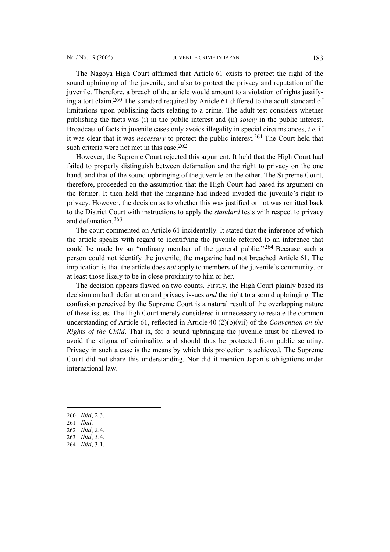The Nagoya High Court affirmed that Article 61 exists to protect the right of the sound upbringing of the juvenile, and also to protect the privacy and reputation of the juvenile. Therefore, a breach of the article would amount to a violation of rights justifying a tort claim. [260](#page-30-0) The standard required by Article 61 differed to the adult standard of limitations upon publishing facts relating to a crime. The adult test considers whether publishing the facts was (i) in the public interest and (ii) *solely* in the public interest. Broadcast of facts in juvenile cases only avoids illegality in special circumstances, *i.e.* if it was clear that it was *necessary* to protect the public interest[.261](#page-30-1) The Court held that such criteria were not met in this case.<sup>[262](#page-30-2)</sup>

However, the Supreme Court rejected this argument. It held that the High Court had failed to properly distinguish between defamation and the right to privacy on the one hand, and that of the sound upbringing of the juvenile on the other. The Supreme Court, therefore, proceeded on the assumption that the High Court had based its argument on the former. It then held that the magazine had indeed invaded the juvenile's right to privacy. However, the decision as to whether this was justified or not was remitted back to the District Court with instructions to apply the *standard* tests with respect to privacy and defamation.[263](#page-30-3)

The court commented on Article 61 incidentally. It stated that the inference of which the article speaks with regard to identifying the juvenile referred to an inference that could be made by an "ordinary member of the general public."[264](#page-30-4) Because such a person could not identify the juvenile, the magazine had not breached Article 61. The implication is that the article does *not* apply to members of the juvenile's community, or at least those likely to be in close proximity to him or her.

The decision appears flawed on two counts. Firstly, the High Court plainly based its decision on both defamation and privacy issues *and* the right to a sound upbringing. The confusion perceived by the Supreme Court is a natural result of the overlapping nature of these issues. The High Court merely considered it unnecessary to restate the common understanding of Article 61, reflected in Article 40 (2)(b)(vii) of the *Convention on the Rights of the Child*. That is, for a sound upbringing the juvenile must be allowed to avoid the stigma of criminality, and should thus be protected from public scrutiny. Privacy in such a case is the means by which this protection is achieved. The Supreme Court did not share this understanding. Nor did it mention Japan's obligations under international law.

<span id="page-30-0"></span>260 *Ibid*, 2.3.

- <span id="page-30-1"></span>261 *Ibid*.
- <span id="page-30-2"></span>262 *Ibid*, 2.4.
- <span id="page-30-3"></span>263 *Ibid*, 3.4.
- <span id="page-30-4"></span>264 *Ibid*, 3.1.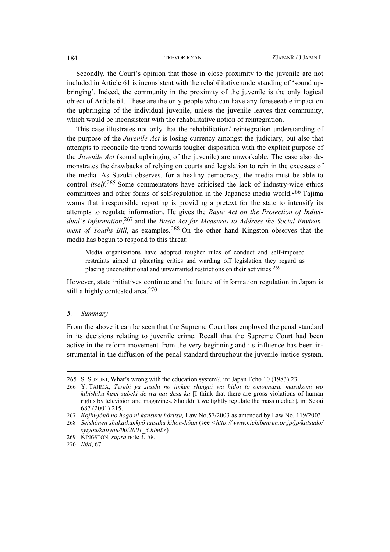Secondly, the Court's opinion that those in close proximity to the juvenile are not included in Article 61 is inconsistent with the rehabilitative understanding of 'sound upbringing'. Indeed, the community in the proximity of the juvenile is the only logical object of Article 61. These are the only people who can have any foreseeable impact on the upbringing of the individual juvenile, unless the juvenile leaves that community, which would be inconsistent with the rehabilitative notion of reintegration.

This case illustrates not only that the rehabilitation/ reintegration understanding of the purpose of the *Juvenile Act* is losing currency amongst the judiciary, but also that attempts to reconcile the trend towards tougher disposition with the explicit purpose of the *Juvenile Act* (sound upbringing of the juvenile) are unworkable. The case also demonstrates the drawbacks of relying on courts and legislation to rein in the excesses of the media. As Suzuki observes, for a healthy democracy, the media must be able to control *itself*.[265](#page-31-0) Some commentators have criticised the lack of industry-wide ethics committees and other forms of self-regulation in the Japanese media world.[266](#page-31-1) Tajima warns that irresponsible reporting is providing a pretext for the state to intensify its attempts to regulate information. He gives the *Basic Act on the Protection of Individual's Information*, [267](#page-31-2) and the *Basic Act for Measures to Address the Social Environment of Youths Bill*, as examples.<sup>[268](#page-31-3)</sup> On the other hand Kingston observes that the media has begun to respond to this threat:

Media organisations have adopted tougher rules of conduct and self-imposed restraints aimed at placating critics and warding off legislation they regard as placing unconstitutional and unwarranted restrictions on their activities[.269](#page-31-4)

However, state initiatives continue and the future of information regulation in Japan is still a highly contested area.[270](#page-31-5)

### *5. Summary*

 $\overline{\phantom{a}}$ 

From the above it can be seen that the Supreme Court has employed the penal standard in its decisions relating to juvenile crime. Recall that the Supreme Court had been active in the reform movement from the very beginning and its influence has been instrumental in the diffusion of the penal standard throughout the juvenile justice system.

<span id="page-31-0"></span><sup>265</sup> S. SUZUKI, What's wrong with the education system?, in: Japan Echo 10 (1983) 23.

<span id="page-31-1"></span><sup>266</sup> Y. TAJIMA, *Terebi ya zasshi no jinken shingai wa hidoi to omoimasu. masukomi wo kibishiku kisei subeki de wa nai desu ka* [I think that there are gross violations of human rights by television and magazines. Shouldn't we tightly regulate the mass media?], in: Sekai 687 (2001) 215.

<span id="page-31-2"></span><sup>267</sup> *Kojin-jôhô no hogo ni kansuru hôritsu,* Law No.57/2003 as amended by Law No. 119/2003.

<span id="page-31-3"></span><sup>268</sup> *Seishônen shakaikankyô taisaku kihon-hôan* (see *<[http://www.nichibenren.or.jp/jp/katsudo/](http://www.nichibenren.or.jp/jp/katsudo/ sytyou/kaityou/00/2001_3.html) [sytyou/kaityou/00/2001\\_3.html](http://www.nichibenren.or.jp/jp/katsudo/ sytyou/kaityou/00/2001_3.html)>*)

<span id="page-31-4"></span><sup>269</sup> KINGSTON, *supra* note 3, 58.

<span id="page-31-5"></span><sup>270</sup> *Ibid*, 67.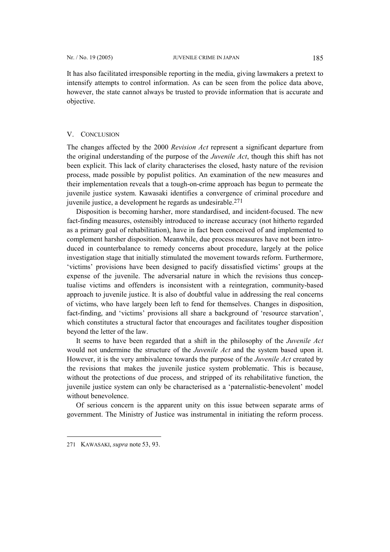It has also facilitated irresponsible reporting in the media, giving lawmakers a pretext to intensify attempts to control information. As can be seen from the police data above, however, the state cannot always be trusted to provide information that is accurate and objective.

## V. CONCLUSION

The changes affected by the 2000 *Revision Act* represent a significant departure from the original understanding of the purpose of the *Juvenile Act*, though this shift has not been explicit. This lack of clarity characterises the closed, hasty nature of the revision process, made possible by populist politics. An examination of the new measures and their implementation reveals that a tough-on-crime approach has begun to permeate the juvenile justice system. Kawasaki identifies a convergence of criminal procedure and juvenile justice, a development he regards as undesirable.[271](#page-32-0)

Disposition is becoming harsher, more standardised, and incident-focused. The new fact-finding measures, ostensibly introduced to increase accuracy (not hitherto regarded as a primary goal of rehabilitation), have in fact been conceived of and implemented to complement harsher disposition. Meanwhile, due process measures have not been introduced in counterbalance to remedy concerns about procedure, largely at the police investigation stage that initially stimulated the movement towards reform. Furthermore, 'victims' provisions have been designed to pacify dissatisfied victims' groups at the expense of the juvenile. The adversarial nature in which the revisions thus conceptualise victims and offenders is inconsistent with a reintegration, community-based approach to juvenile justice. It is also of doubtful value in addressing the real concerns of victims, who have largely been left to fend for themselves. Changes in disposition, fact-finding, and 'victims' provisions all share a background of 'resource starvation', which constitutes a structural factor that encourages and facilitates tougher disposition beyond the letter of the law.

It seems to have been regarded that a shift in the philosophy of the *Juvenile Act* would not undermine the structure of the *Juvenile Act* and the system based upon it. However, it is the very ambivalence towards the purpose of the *Juvenile Act* created by the revisions that makes the juvenile justice system problematic. This is because, without the protections of due process, and stripped of its rehabilitative function, the juvenile justice system can only be characterised as a 'paternalistic-benevolent' model without benevolence.

Of serious concern is the apparent unity on this issue between separate arms of government. The Ministry of Justice was instrumental in initiating the reform process.

<span id="page-32-0"></span><sup>271</sup> KAWASAKI, *supra* note 53, 93.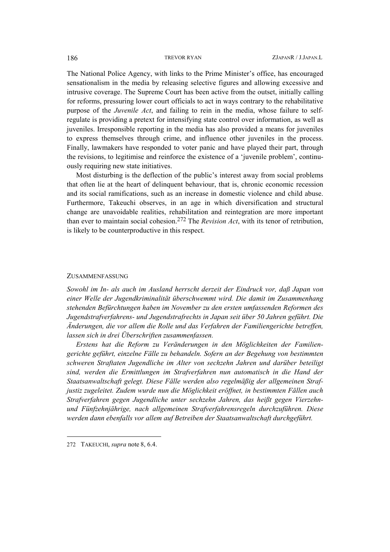The National Police Agency, with links to the Prime Minister's office, has encouraged sensationalism in the media by releasing selective figures and allowing excessive and intrusive coverage. The Supreme Court has been active from the outset, initially calling for reforms, pressuring lower court officials to act in ways contrary to the rehabilitative purpose of the *Juvenile Act*, and failing to rein in the media, whose failure to selfregulate is providing a pretext for intensifying state control over information, as well as juveniles. Irresponsible reporting in the media has also provided a means for juveniles to express themselves through crime, and influence other juveniles in the process. Finally, lawmakers have responded to voter panic and have played their part, through the revisions, to legitimise and reinforce the existence of a 'juvenile problem', continuously requiring new state initiatives.

Most disturbing is the deflection of the public's interest away from social problems that often lie at the heart of delinquent behaviour, that is, chronic economic recession and its social ramifications, such as an increase in domestic violence and child abuse. Furthermore, Takeuchi observes, in an age in which diversification and structural change are unavoidable realities, rehabilitation and reintegration are more important than ever to maintain social cohesion.[272](#page-33-0) The *Revision Act*, with its tenor of retribution, is likely to be counterproductive in this respect.

## ZUSAMMENFASSUNG

*Sowohl im In- als auch im Ausland herrscht derzeit der Eindruck vor, daß Japan von einer Welle der Jugendkriminalität überschwemmt wird. Die damit im Zusammenhang stehenden Befürchtungen haben im November zu den ersten umfassenden Reformen des Jugendstrafverfahrens- und Jugendstrafrechts in Japan seit über 50 Jahren geführt. Die Änderungen, die vor allem die Rolle und das Verfahren der Familiengerichte betreffen, lassen sich in drei Überschriften zusammenfassen.* 

*Erstens hat die Reform zu Veränderungen in den Möglichkeiten der Familiengerichte geführt, einzelne Fälle zu behandeln. Sofern an der Begehung von bestimmten schweren Straftaten Jugendliche im Alter von sechzehn Jahren und darüber beteiligt sind, werden die Ermittlungen im Strafverfahren nun automatisch in die Hand der Staatsanwaltschaft gelegt. Diese Fälle werden also regelmäßig der allgemeinen Strafjustiz zugeleitet. Zudem wurde nun die Möglichkeit eröffnet, in bestimmten Fällen auch Strafverfahren gegen Jugendliche unter sechzehn Jahren, das heißt gegen Vierzehnund Fünfzehnjährige, nach allgemeinen Strafverfahrensregeln durchzuführen. Diese werden dann ebenfalls vor allem auf Betreiben der Staatsanwaltschaft durchgeführt.* 

<span id="page-33-0"></span><sup>272</sup> TAKEUCHI, *supra* note 8, 6.4.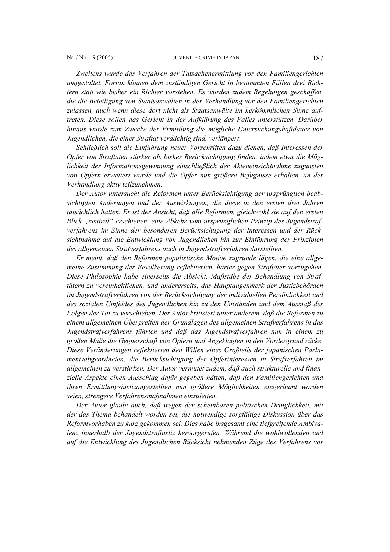## Nr. / No. 19 (2005) JUVENILE CRIME IN JAPAN 187

*Zweitens wurde das Verfahren der Tatsachenermittlung vor den Familiengerichten umgestaltet. Fortan können dem zuständigen Gericht in bestimmten Fällen drei Richtern statt wie bisher ein Richter vorstehen. Es wurden zudem Regelungen geschaffen, die die Beteiligung von Staatsanwälten in der Verhandlung vor den Familiengerichten zulassen, auch wenn diese dort nicht als Staatsanwälte im herkömmlichen Sinne auftreten. Diese sollen das Gericht in der Aufklärung des Falles unterstützen. Darüber hinaus wurde zum Zwecke der Ermittlung die mögliche Untersuchungshaftdauer von Jugendlichen, die einer Straftat verdächtig sind, verlängert.* 

*Schließlich soll die Einführung neuer Vorschriften dazu dienen, daß Interessen der Opfer von Straftaten stärker als bisher Berücksichtigung finden, indem etwa die Möglichkeit der Informationsgewinnung einschließlich der Akteneinsichtnahme zugunsten von Opfern erweitert wurde und die Opfer nun größere Befugnisse erhalten, an der Verhandlung aktiv teilzunehmen.* 

*Der Autor untersucht die Reformen unter Berücksichtigung der ursprünglich beabsichtigten Änderungen und der Auswirkungen, die diese in den ersten drei Jahren tatsächlich hatten. Er ist der Ansicht, daß alle Reformen, gleichwohl sie auf den ersten Blick "neutral" erschienen, eine Abkehr vom ursprünglichen Prinzip des Jugendstrafverfahrens im Sinne der besonderen Berücksichtigung der Interessen und der Rücksichtnahme auf die Entwicklung von Jugendlichen hin zur Einführung der Prinzipien des allgemeinen Strafverfahrens auch in Jugendstrafverfahren darstellten.* 

*Er meint, daß den Reformen populistische Motive zugrunde lägen, die eine allgemeine Zustimmung der Bevölkerung reflektierten, härter gegen Straftäter vorzugehen. Diese Philosophie habe einerseits die Absicht, Maßstäbe der Behandlung von Straftätern zu vereinheitlichen, und andererseits, das Hauptaugenmerk der Justizbehörden im Jugendstrafverfahren von der Berücksichtigung der individuellen Persönlichkeit und des sozialen Umfeldes des Jugendlichen hin zu den Umständen und dem Ausmaß der Folgen der Tat zu verschieben. Der Autor kritisiert unter anderem, daß die Reformen zu einem allgemeinen Übergreifen der Grundlagen des allgemeinen Strafverfahrens in das Jugendstrafverfahrens führten und daß das Jugendstrafverfahren nun in einem zu großen Maße die Gegnerschaft von Opfern und Angeklagten in den Vordergrund rücke. Diese Veränderungen reflektierten den Willen eines Großteils der japanischen Parlamentsabgeordneten, die Berücksichtigung der Opferinteressen in Strafverfahren im allgemeinen zu verstärken. Der Autor vermutet zudem, daß auch strukturelle und finanzielle Aspekte einen Ausschlag dafür gegeben hätten, daß den Familiengerichten und ihren Ermittlungsjustizangestellten nun größere Möglichkeiten eingeräumt worden seien, strengere Verfahrensmaßnahmen einzuleiten.* 

*Der Autor glaubt auch, daß wegen der scheinbaren politischen Dringlichkeit, mit der das Thema behandelt worden sei, die notwendige sorgfältige Diskussion über das Reformvorhaben zu kurz gekommen sei. Dies habe insgesamt eine tiefgreifende Ambivalenz innerhalb der Jugendstrafjustiz hervorgerufen. Während die wohlwollenden und auf die Entwicklung des Jugendlichen Rücksicht nehmenden Züge des Verfahrens vor*